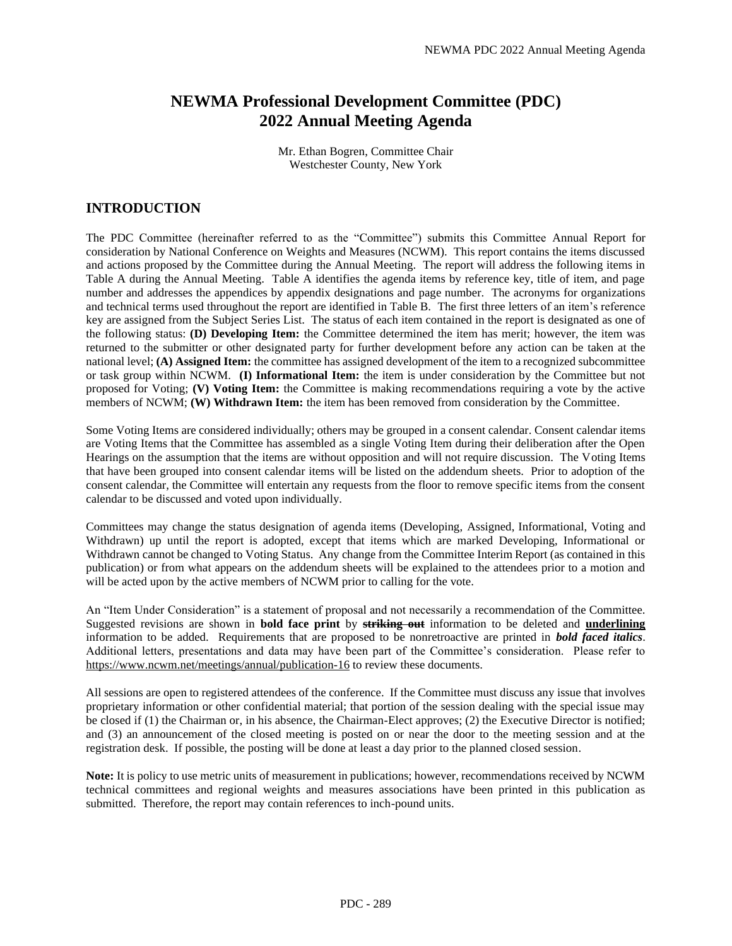# **NEWMA Professional Development Committee (PDC) 2022 Annual Meeting Agenda**

Mr. Ethan Bogren, Committee Chair Westchester County, New York

## **INTRODUCTION**

The PDC Committee (hereinafter referred to as the "Committee") submits this Committee Annual Report for consideration by National Conference on Weights and Measures (NCWM). This report contains the items discussed and actions proposed by the Committee during the Annual Meeting. The report will address the following items in Table A during the Annual Meeting. Table A identifies the agenda items by reference key, title of item, and page number and addresses the appendices by appendix designations and page number. The acronyms for organizations and technical terms used throughout the report are identified in Table B. The first three letters of an item's reference key are assigned from the Subject Series List. The status of each item contained in the report is designated as one of the following status: **(D) Developing Item:** the Committee determined the item has merit; however, the item was returned to the submitter or other designated party for further development before any action can be taken at the national level; **(A) Assigned Item:** the committee has assigned development of the item to a recognized subcommittee or task group within NCWM. **(I) Informational Item:** the item is under consideration by the Committee but not proposed for Voting; **(V) Voting Item:** the Committee is making recommendations requiring a vote by the active members of NCWM; **(W) Withdrawn Item:** the item has been removed from consideration by the Committee.

Some Voting Items are considered individually; others may be grouped in a consent calendar. Consent calendar items are Voting Items that the Committee has assembled as a single Voting Item during their deliberation after the Open Hearings on the assumption that the items are without opposition and will not require discussion. The Voting Items that have been grouped into consent calendar items will be listed on the addendum sheets. Prior to adoption of the consent calendar, the Committee will entertain any requests from the floor to remove specific items from the consent calendar to be discussed and voted upon individually.

Committees may change the status designation of agenda items (Developing, Assigned, Informational, Voting and Withdrawn) up until the report is adopted, except that items which are marked Developing, Informational or Withdrawn cannot be changed to Voting Status. Any change from the Committee Interim Report (as contained in this publication) or from what appears on the addendum sheets will be explained to the attendees prior to a motion and will be acted upon by the active members of NCWM prior to calling for the vote.

An "Item Under Consideration" is a statement of proposal and not necessarily a recommendation of the Committee. Suggested revisions are shown in **bold face print** by **striking out** information to be deleted and **underlining** information to be added. Requirements that are proposed to be nonretroactive are printed in *bold faced italics*. Additional letters, presentations and data may have been part of the Committee's consideration. Please refer to <https://www.ncwm.net/meetings/annual/publication-16> to review these documents.

All sessions are open to registered attendees of the conference. If the Committee must discuss any issue that involves proprietary information or other confidential material; that portion of the session dealing with the special issue may be closed if (1) the Chairman or, in his absence, the Chairman-Elect approves; (2) the Executive Director is notified; and (3) an announcement of the closed meeting is posted on or near the door to the meeting session and at the registration desk. If possible, the posting will be done at least a day prior to the planned closed session.

**Note:** It is policy to use metric units of measurement in publications; however, recommendations received by NCWM technical committees and regional weights and measures associations have been printed in this publication as submitted. Therefore, the report may contain references to inch-pound units.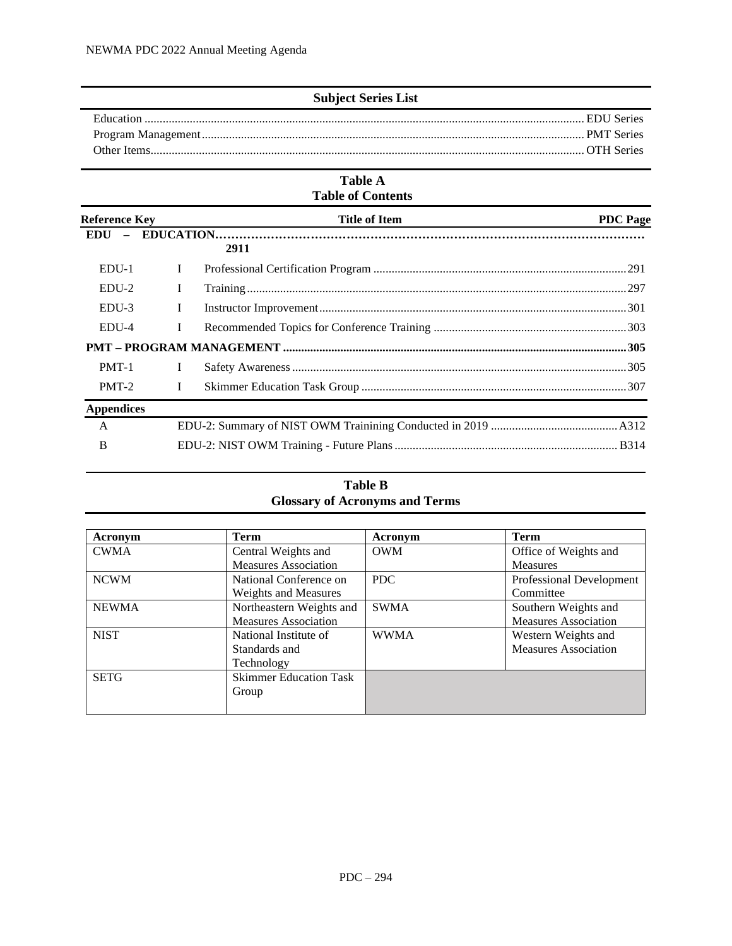| <b>Subject Series List</b> |  |
|----------------------------|--|
|                            |  |
|                            |  |
|                            |  |

# **Table A Table of Contents**

| <b>Reference Key</b> |   | <b>Title of Item</b> | <b>PDC</b> Page |
|----------------------|---|----------------------|-----------------|
| EDU                  |   | 2911                 |                 |
| $EDU-1$              | L |                      |                 |
| EDU-2                | Ι |                      |                 |
| EDU-3                | L |                      |                 |
| $EDU-4$              |   |                      |                 |
|                      |   |                      |                 |
| $PMT-1$              | Ι |                      |                 |
| PMT-2                | L |                      |                 |
| <b>Appendices</b>    |   |                      |                 |
| A                    |   |                      |                 |
| B                    |   |                      |                 |

# **Table B Glossary of Acronyms and Terms**

| Acronym      | <b>Term</b>                   | Acronym     | <b>Term</b>                 |
|--------------|-------------------------------|-------------|-----------------------------|
| <b>CWMA</b>  | Central Weights and           | <b>OWM</b>  | Office of Weights and       |
|              | Measures Association          |             | <b>Measures</b>             |
| <b>NCWM</b>  | National Conference on        | PDC         | Professional Development    |
|              | <b>Weights and Measures</b>   |             | Committee                   |
| <b>NEWMA</b> | Northeastern Weights and      | <b>SWMA</b> | Southern Weights and        |
|              | <b>Measures Association</b>   |             | <b>Measures Association</b> |
| <b>NIST</b>  | National Institute of         | <b>WWMA</b> | Western Weights and         |
|              | Standards and                 |             | <b>Measures Association</b> |
|              | Technology                    |             |                             |
| <b>SETG</b>  | <b>Skimmer Education Task</b> |             |                             |
|              | Group                         |             |                             |
|              |                               |             |                             |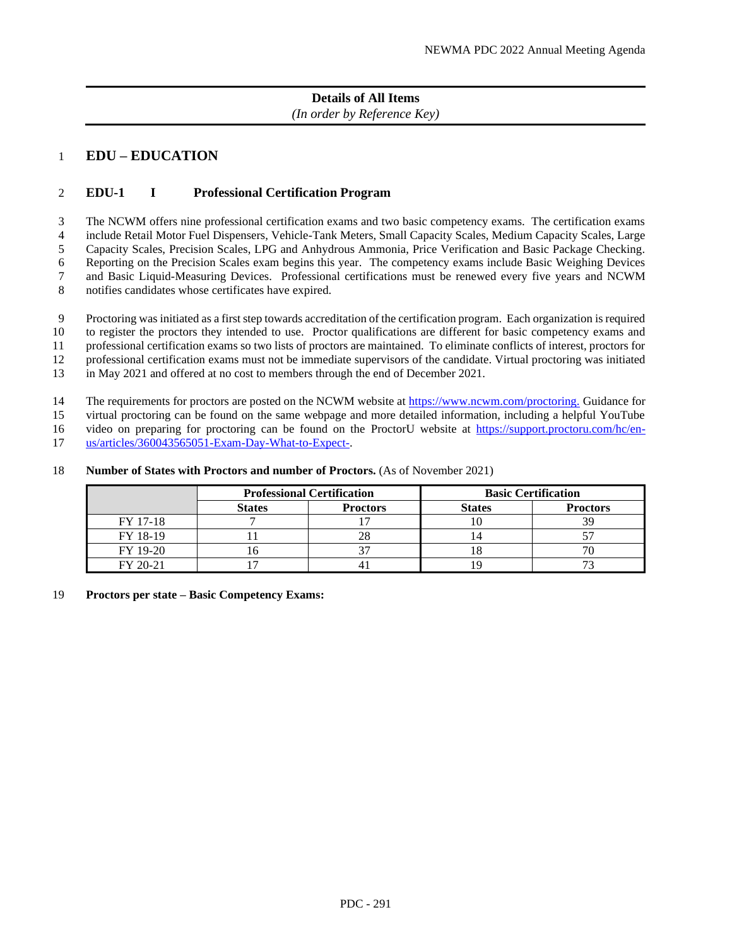# **Details of All Items**

*(In order by Reference Key)*

## <span id="page-2-0"></span>1 **EDU – EDUCATION**

## <span id="page-2-1"></span>2 **EDU-1 I Professional Certification Program**

 The NCWM offers nine professional certification exams and two basic competency exams. The certification exams include Retail Motor Fuel Dispensers, Vehicle-Tank Meters, Small Capacity Scales, Medium Capacity Scales, Large Capacity Scales, Precision Scales, LPG and Anhydrous Ammonia, Price Verification and Basic Package Checking. Reporting on the Precision Scales exam begins this year. The competency exams include Basic Weighing Devices and Basic Liquid-Measuring Devices. Professional certifications must be renewed every five years and NCWM notifies candidates whose certificates have expired.

9 Proctoring was initiated as a first step towards accreditation of the certification program. Each organization is required 10 to register the proctors they intended to use. Proctor qualifications are different for basic competency exams and 11 professional certification exams so two lists of proctors are maintained. To eliminate conflicts of interest, proctors for

12 professional certification exams must not be immediate supervisors of the candidate. Virtual proctoring was initiated

13 in May 2021 and offered at no cost to members through the end of December 2021.

14 The requirements for proctors are posted on the NCWM website at [https://www.ncwm.com/proctoring.](https://www.ncwm.com/proctoring) Guidance for

15 virtual proctoring can be found on the same webpage and more detailed information, including a helpful YouTube

16 video on preparing for proctoring can be found on the ProctorU website at [https://support.proctoru.com/hc/en-](https://support.proctoru.com/hc/en-us/articles/360043565051-Exam-Day-What-to-Expect-)

17 [us/articles/360043565051-Exam-Day-What-to-Expect-.](https://support.proctoru.com/hc/en-us/articles/360043565051-Exam-Day-What-to-Expect-)

### 18 **Number of States with Proctors and number of Proctors.** (As of November 2021)

|          |               | <b>Professional Certification</b> | <b>Basic Certification</b> |                 |  |
|----------|---------------|-----------------------------------|----------------------------|-----------------|--|
|          | <b>States</b> | <b>Proctors</b>                   | <b>States</b>              | <b>Proctors</b> |  |
| FY 17-18 |               |                                   |                            |                 |  |
| FY 18-19 |               | ۷Q                                |                            |                 |  |
| FY 19-20 |               |                                   |                            |                 |  |
| FY 20-21 |               |                                   |                            |                 |  |

19 **Proctors per state – Basic Competency Exams:**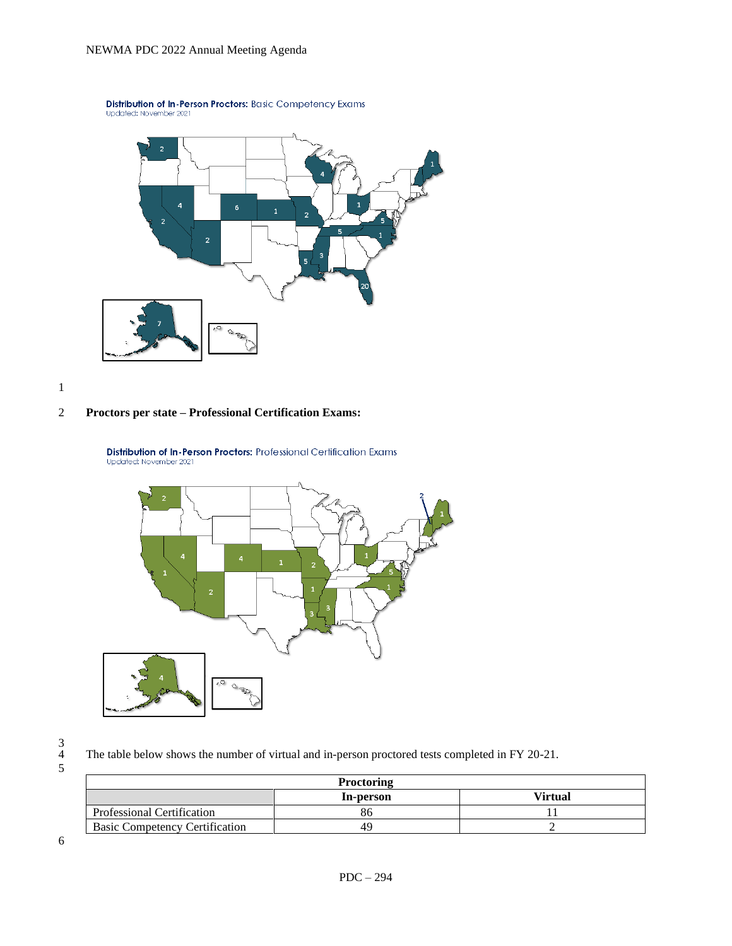

1

## 2 **Proctors per state – Professional Certification Exams:**

**Distribution of In-Person Proctors:** Professional Certification Exams<br>Updated: November 2021



3 5

|  |  | The table below shows the number of virtual and in-person proctored tests completed in FY 20-21. |
|--|--|--------------------------------------------------------------------------------------------------|
|  |  |                                                                                                  |

| <b>Proctoring</b>                     |           |                |  |  |
|---------------------------------------|-----------|----------------|--|--|
|                                       | In-person | <b>Virtual</b> |  |  |
| <b>Professional Certification</b>     | 86        |                |  |  |
| <b>Basic Competency Certification</b> | 49        |                |  |  |

6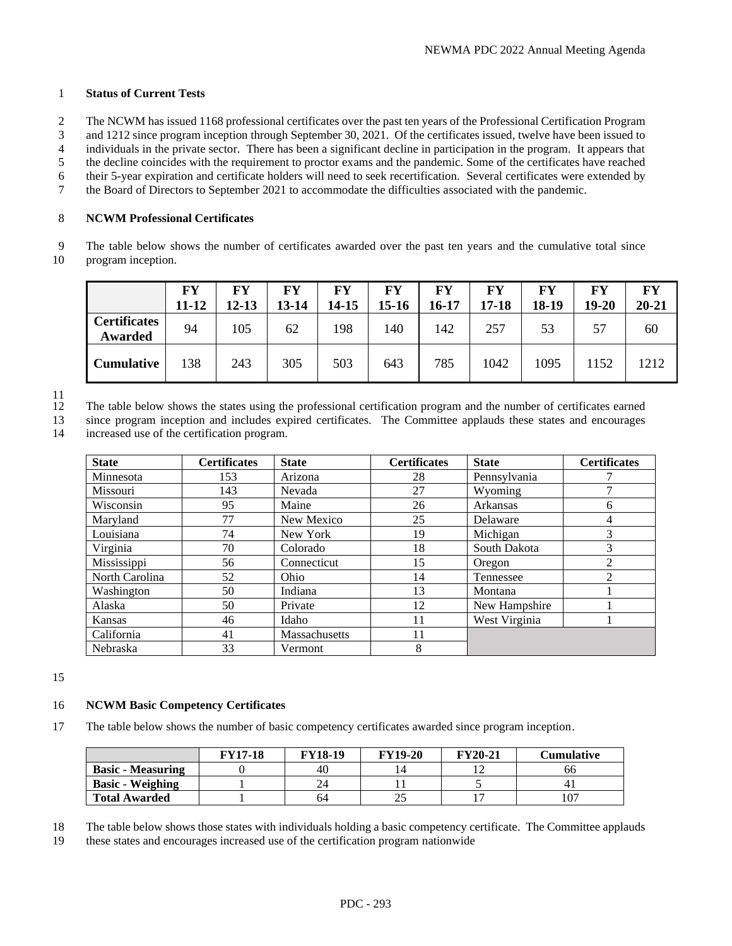## 1 **Status of Current Tests**

2 The NCWM has issued 1168 professional certificates over the past ten years of the Professional Certification Program

3 and 1212 since program inception through September 30, 2021. Of the certificates issued, twelve have been issued to

4 individuals in the private sector. There has been a significant decline in participation in the program. It appears that

5 the decline coincides with the requirement to proctor exams and the pandemic. Some of the certificates have reached 6 their 5-year expiration and certificate holders will need to seek recertification. Several certificates were extended by

7 the Board of Directors to September 2021 to accommodate the difficulties associated with the pandemic.

### 8 **NCWM Professional Certificates**

9 The table below shows the number of certificates awarded over the past ten years and the cumulative total since 10 program inception.

|                                | FY<br>11-12 | FY<br>$12 - 13$ | FY<br>13-14 | FY<br>14-15 | FY<br>$15-16$ | FY<br>16-17 | FY<br>$17 - 18$ | FY<br>18-19 | FY<br>$19 - 20$ | FY<br>$20 - 21$ |
|--------------------------------|-------------|-----------------|-------------|-------------|---------------|-------------|-----------------|-------------|-----------------|-----------------|
| <b>Certificates</b><br>Awarded | 94          | 105             | 62          | 198         | 140           | 142         | 257             | 53          | 57              | 60              |
| <b>Cumulative</b>              | 138         | 243             | 305         | 503         | 643           | 785         | 1042            | 1095        | 1152            | 1212            |

 $\frac{11}{12}$ 

12 The table below shows the states using the professional certification program and the number of certificates earned

13 since program inception and includes expired certificates. The Committee applauds these states and encourages 14 increased use of the certification program.

| <b>State</b>   | <b>Certificates</b> | <b>State</b>         | <b>Certificates</b> | <b>State</b>  | <b>Certificates</b> |
|----------------|---------------------|----------------------|---------------------|---------------|---------------------|
| Minnesota      | 153                 | Arizona              | 28                  | Pennsylvania  |                     |
| Missouri       | 143                 | Nevada               | 27                  | Wyoming       |                     |
| Wisconsin      | 95                  | Maine                | 26                  | Arkansas      | 6                   |
| Maryland       | 77                  | New Mexico           | 25                  | Delaware      | 4                   |
| Louisiana      | 74                  | New York             | 19                  | Michigan      |                     |
| Virginia       | 70                  | Colorado             | 18                  | South Dakota  |                     |
| Mississippi    | 56                  | Connecticut          | 15                  | Oregon        |                     |
| North Carolina | 52                  | Ohio                 | 14                  | Tennessee     |                     |
| Washington     | 50                  | Indiana              | 13                  | Montana       |                     |
| Alaska         | 50                  | Private              | 12                  | New Hampshire |                     |
| Kansas         | 46                  | Idaho                | 11                  | West Virginia |                     |
| California     | 41                  | <b>Massachusetts</b> | 11                  |               |                     |
| Nebraska       | 33                  | Vermont              | 8                   |               |                     |

15

### 16 **NCWM Basic Competency Certificates**

17 The table below shows the number of basic competency certificates awarded since program inception.

|                          | <b>FY17-18</b> | <b>FY18-19</b> | <b>FY19-20</b> | <b>FY20-21</b> | <b>Cumulative</b> |
|--------------------------|----------------|----------------|----------------|----------------|-------------------|
| <b>Basic - Measuring</b> |                | 40             | ι4             |                | 66                |
| <b>Basic - Weighing</b>  |                |                |                |                |                   |
| <b>Total Awarded</b>     |                | 64             | ر_             |                | 107               |

18 The table below shows those states with individuals holding a basic competency certificate. The Committee applauds

19 these states and encourages increased use of the certification program nationwide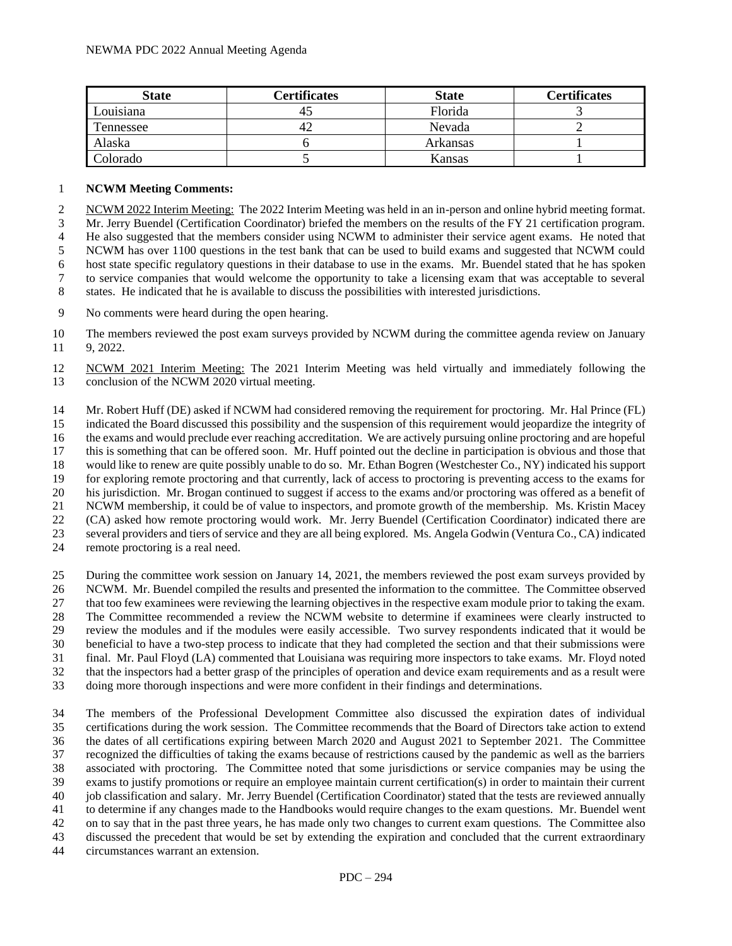| <b>Certificates</b><br><b>State</b> |  | <b>State</b> | <b>Certificates</b> |
|-------------------------------------|--|--------------|---------------------|
| Louisiana                           |  | Florida      |                     |
| Tennessee                           |  | Nevada       |                     |
| Alaska                              |  | Arkansas     |                     |
| Colorado                            |  | Kansas       |                     |

#### **NCWM Meeting Comments:**

2 NCWM 2022 Interim Meeting: The 2022 Interim Meeting was held in an in-person and online hybrid meeting format.

Mr. Jerry Buendel (Certification Coordinator) briefed the members on the results of the FY 21 certification program.

He also suggested that the members consider using NCWM to administer their service agent exams. He noted that

 NCWM has over 1100 questions in the test bank that can be used to build exams and suggested that NCWM could host state specific regulatory questions in their database to use in the exams. Mr. Buendel stated that he has spoken

to service companies that would welcome the opportunity to take a licensing exam that was acceptable to several

states. He indicated that he is available to discuss the possibilities with interested jurisdictions.

No comments were heard during the open hearing.

 The members reviewed the post exam surveys provided by NCWM during the committee agenda review on January 9, 2022.

 NCWM 2021 Interim Meeting: The 2021 Interim Meeting was held virtually and immediately following the conclusion of the NCWM 2020 virtual meeting.

Mr. Robert Huff (DE) asked if NCWM had considered removing the requirement for proctoring. Mr. Hal Prince (FL)

indicated the Board discussed this possibility and the suspension of this requirement would jeopardize the integrity of

the exams and would preclude ever reaching accreditation. We are actively pursuing online proctoring and are hopeful

 this is something that can be offered soon. Mr. Huff pointed out the decline in participation is obvious and those that would like to renew are quite possibly unable to do so. Mr. Ethan Bogren (Westchester Co., NY) indicated his support

for exploring remote proctoring and that currently, lack of access to proctoring is preventing access to the exams for

his jurisdiction. Mr. Brogan continued to suggest if access to the exams and/or proctoring was offered as a benefit of

NCWM membership, it could be of value to inspectors, and promote growth of the membership. Ms. Kristin Macey

(CA) asked how remote proctoring would work. Mr. Jerry Buendel (Certification Coordinator) indicated there are

several providers and tiers of service and they are all being explored. Ms. Angela Godwin (Ventura Co., CA) indicated

remote proctoring is a real need.

 During the committee work session on January 14, 2021, the members reviewed the post exam surveys provided by NCWM. Mr. Buendel compiled the results and presented the information to the committee. The Committee observed that too few examinees were reviewing the learning objectives in the respective exam module prior to taking the exam. The Committee recommended a review the NCWM website to determine if examinees were clearly instructed to review the modules and if the modules were easily accessible. Two survey respondents indicated that it would be beneficial to have a two-step process to indicate that they had completed the section and that their submissions were final. Mr. Paul Floyd (LA) commented that Louisiana was requiring more inspectors to take exams. Mr. Floyd noted that the inspectors had a better grasp of the principles of operation and device exam requirements and as a result were

doing more thorough inspections and were more confident in their findings and determinations.

 The members of the Professional Development Committee also discussed the expiration dates of individual certifications during the work session. The Committee recommends that the Board of Directors take action to extend the dates of all certifications expiring between March 2020 and August 2021 to September 2021. The Committee recognized the difficulties of taking the exams because of restrictions caused by the pandemic as well as the barriers associated with proctoring. The Committee noted that some jurisdictions or service companies may be using the exams to justify promotions or require an employee maintain current certification(s) in order to maintain their current job classification and salary. Mr. Jerry Buendel (Certification Coordinator) stated that the tests are reviewed annually to determine if any changes made to the Handbooks would require changes to the exam questions. Mr. Buendel went on to say that in the past three years, he has made only two changes to current exam questions. The Committee also discussed the precedent that would be set by extending the expiration and concluded that the current extraordinary

circumstances warrant an extension.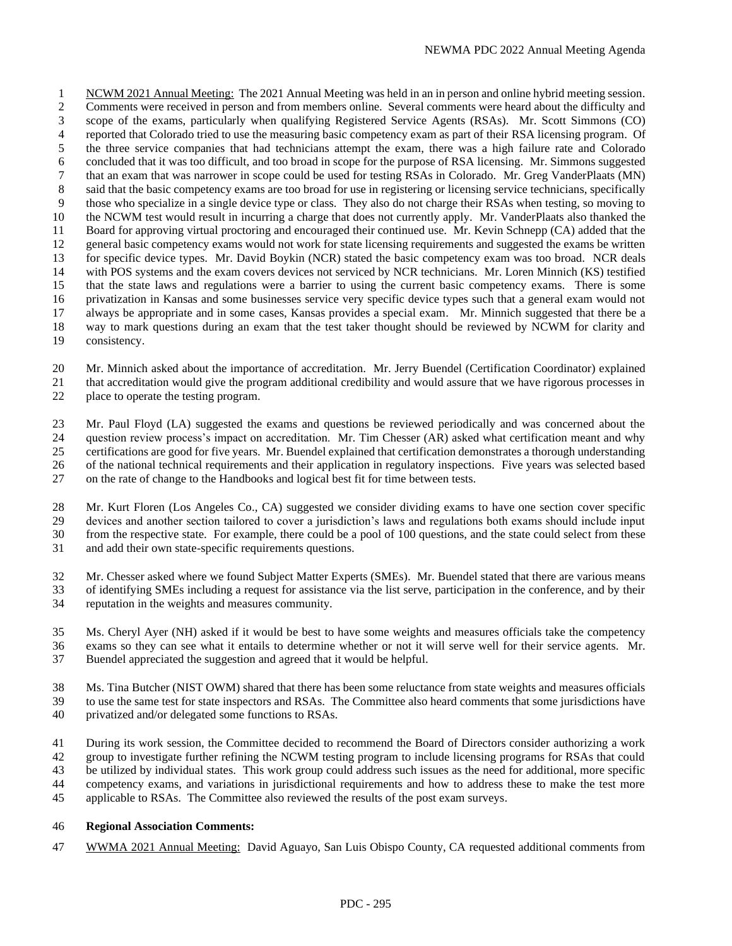1 NCWM 2021 Annual Meeting: The 2021 Annual Meeting was held in an in person and online hybrid meeting session.<br>2 Comments were received in person and from members online. Several comments were heard about the difficulty a Comments were received in person and from members online. Several comments were heard about the difficulty and scope of the exams, particularly when qualifying Registered Service Agents (RSAs). Mr. Scott Simmons (CO) reported that Colorado tried to use the measuring basic competency exam as part of their RSA licensing program. Of the three service companies that had technicians attempt the exam, there was a high failure rate and Colorado concluded that it was too difficult, and too broad in scope for the purpose of RSA licensing. Mr. Simmons suggested that an exam that was narrower in scope could be used for testing RSAs in Colorado. Mr. Greg VanderPlaats (MN) said that the basic competency exams are too broad for use in registering or licensing service technicians, specifically those who specialize in a single device type or class. They also do not charge their RSAs when testing, so moving to the NCWM test would result in incurring a charge that does not currently apply. Mr. VanderPlaats also thanked the Board for approving virtual proctoring and encouraged their continued use. Mr. Kevin Schnepp (CA) added that the general basic competency exams would not work for state licensing requirements and suggested the exams be written for specific device types. Mr. David Boykin (NCR) stated the basic competency exam was too broad. NCR deals with POS systems and the exam covers devices not serviced by NCR technicians. Mr. Loren Minnich (KS) testified that the state laws and regulations were a barrier to using the current basic competency exams. There is some privatization in Kansas and some businesses service very specific device types such that a general exam would not always be appropriate and in some cases, Kansas provides a special exam. Mr. Minnich suggested that there be a way to mark questions during an exam that the test taker thought should be reviewed by NCWM for clarity and consistency.

 Mr. Minnich asked about the importance of accreditation. Mr. Jerry Buendel (Certification Coordinator) explained that accreditation would give the program additional credibility and would assure that we have rigorous processes in place to operate the testing program.

 Mr. Paul Floyd (LA) suggested the exams and questions be reviewed periodically and was concerned about the question review process's impact on accreditation. Mr. Tim Chesser (AR) asked what certification meant and why certifications are good for five years. Mr. Buendel explained that certification demonstrates a thorough understanding of the national technical requirements and their application in regulatory inspections. Five years was selected based on the rate of change to the Handbooks and logical best fit for time between tests.

 Mr. Kurt Floren (Los Angeles Co., CA) suggested we consider dividing exams to have one section cover specific devices and another section tailored to cover a jurisdiction's laws and regulations both exams should include input from the respective state. For example, there could be a pool of 100 questions, and the state could select from these and add their own state-specific requirements questions.

 Mr. Chesser asked where we found Subject Matter Experts (SMEs). Mr. Buendel stated that there are various means of identifying SMEs including a request for assistance via the list serve, participation in the conference, and by their reputation in the weights and measures community.

- Ms. Cheryl Ayer (NH) asked if it would be best to have some weights and measures officials take the competency exams so they can see what it entails to determine whether or not it will serve well for their service agents. Mr. Buendel appreciated the suggestion and agreed that it would be helpful.
- 
- Ms. Tina Butcher (NIST OWM) shared that there has been some reluctance from state weights and measures officials to use the same test for state inspectors and RSAs. The Committee also heard comments that some jurisdictions have
- privatized and/or delegated some functions to RSAs.
- During its work session, the Committee decided to recommend the Board of Directors consider authorizing a work
- group to investigate further refining the NCWM testing program to include licensing programs for RSAs that could
- be utilized by individual states. This work group could address such issues as the need for additional, more specific
- competency exams, and variations in jurisdictional requirements and how to address these to make the test more
- applicable to RSAs. The Committee also reviewed the results of the post exam surveys.

## **Regional Association Comments:**

WWMA 2021 Annual Meeting: David Aguayo, San Luis Obispo County, CA requested additional comments from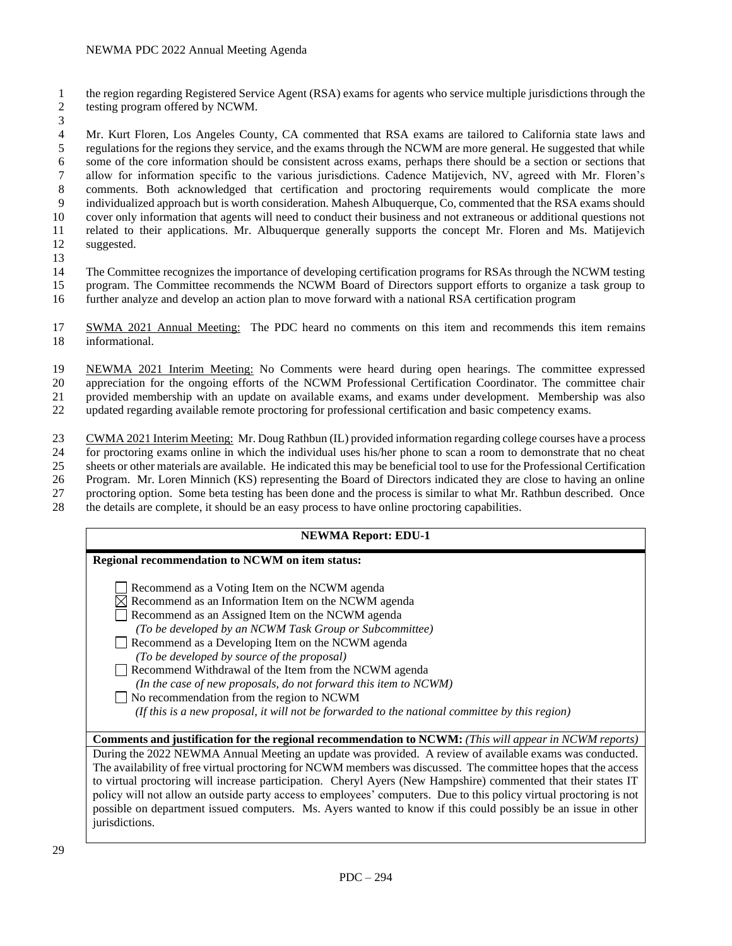- 1 the region regarding Registered Service Agent (RSA) exams for agents who service multiple jurisdictions through the testing program offered by NCWM. testing program offered by NCWM.
- 3

 Mr. Kurt Floren, Los Angeles County, CA commented that RSA exams are tailored to California state laws and regulations for the regions they service, and the exams through the NCWM are more general. He suggested that while some of the core information should be consistent across exams, perhaps there should be a section or sections that allow for information specific to the various jurisdictions. Cadence Matijevich, NV, agreed with Mr. Floren's comments. Both acknowledged that certification and proctoring requirements would complicate the more individualized approach but is worth consideration. Mahesh Albuquerque, Co, commented that the RSA exams should cover only information that agents will need to conduct their business and not extraneous or additional questions not related to their applications. Mr. Albuquerque generally supports the concept Mr. Floren and Ms. Matijevich suggested.

- 13
- 14 The Committee recognizes the importance of developing certification programs for RSAs through the NCWM testing 15 program. The Committee recommends the NCWM Board of Directors support efforts to organize a task group to
- 16 further analyze and develop an action plan to move forward with a national RSA certification program
- 17 SWMA 2021 Annual Meeting: The PDC heard no comments on this item and recommends this item remains 18 informational.
- 19 NEWMA 2021 Interim Meeting: No Comments were heard during open hearings. The committee expressed

20 appreciation for the ongoing efforts of the NCWM Professional Certification Coordinator. The committee chair 21 provided membership with an update on available exams, and exams under development. Membership was also

22 updated regarding available remote proctoring for professional certification and basic competency exams.

- 23 CWMA 2021 Interim Meeting: Mr. Doug Rathbun (IL) provided information regarding college courses have a process
- 24 for proctoring exams online in which the individual uses his/her phone to scan a room to demonstrate that no cheat
- 25 sheets or other materials are available. He indicated this may be beneficial tool to use for the Professional Certification
- 26 Program. Mr. Loren Minnich (KS) representing the Board of Directors indicated they are close to having an online
- 27 proctoring option. Some beta testing has been done and the process is similar to what Mr. Rathbun described. Once
- 28 the details are complete, it should be an easy process to have online proctoring capabilities.

# **NEWMA Report: EDU-1**

| <b>Regional recommendation to NCWM on item status:</b> |  |
|--------------------------------------------------------|--|
|--------------------------------------------------------|--|

- Recommend as a Voting Item on the NCWM agenda
- $\boxtimes$  Recommend as an Information Item on the NCWM agenda
- $\Box$  Recommend as an Assigned Item on the NCWM agenda
- *(To be developed by an NCWM Task Group or Subcommittee)*
- Recommend as a Developing Item on the NCWM agenda
	- *(To be developed by source of the proposal)*
- Recommend Withdrawal of the Item from the NCWM agenda
	- *(In the case of new proposals, do not forward this item to NCWM)*
- No recommendation from the region to NCWM

 *(If this is a new proposal, it will not be forwarded to the national committee by this region)*

**Comments and justification for the regional recommendation to NCWM:** *(This will appear in NCWM reports)* During the 2022 NEWMA Annual Meeting an update was provided. A review of available exams was conducted. The availability of free virtual proctoring for NCWM members was discussed. The committee hopes that the access to virtual proctoring will increase participation. Cheryl Ayers (New Hampshire) commented that their states IT policy will not allow an outside party access to employees' computers. Due to this policy virtual proctoring is not possible on department issued computers. Ms. Ayers wanted to know if this could possibly be an issue in other jurisdictions.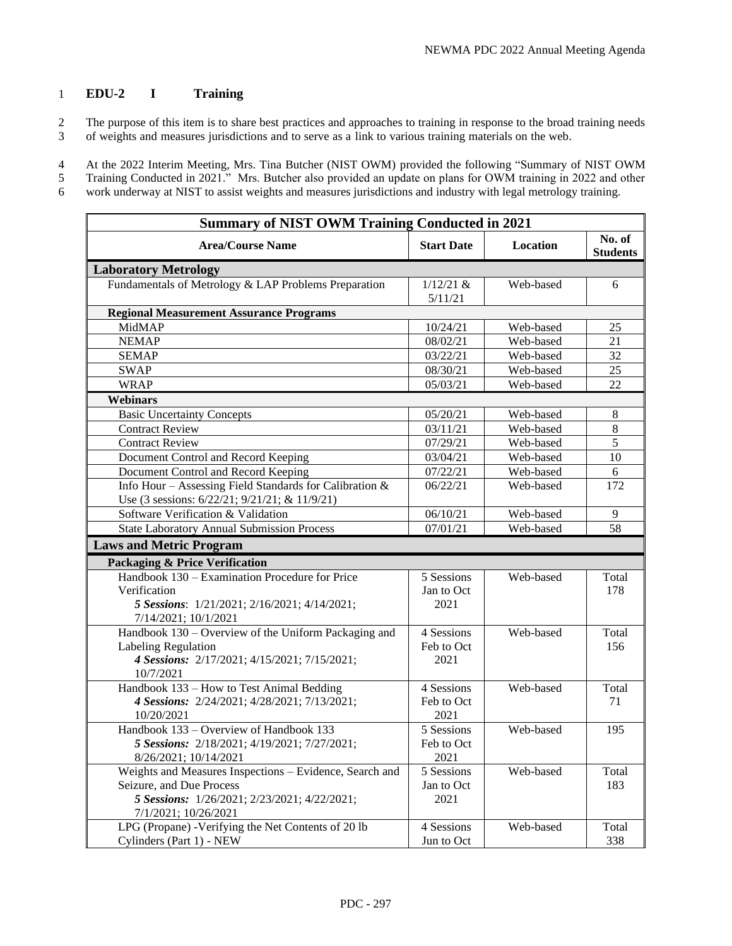## <span id="page-8-0"></span>1 **EDU-2 I Training**

2 The purpose of this item is to share best practices and approaches to training in response to the broad training needs 3 of weights and measures jurisdictions and to serve as a link to various training materials on the web.

4 At the 2022 Interim Meeting, Mrs. Tina Butcher (NIST OWM) provided the following "Summary of NIST OWM<br>5 Training Conducted in 2021." Mrs. Butcher also provided an update on plans for OWM training in 2022 and other

5 Training Conducted in 2021." Mrs. Butcher also provided an update on plans for OWM training in 2022 and other

6 work underway at NIST to assist weights and measures jurisdictions and industry with legal metrology training.

| <b>Summary of NIST OWM Training Conducted in 2021</b>   |                         |           |                           |  |  |  |
|---------------------------------------------------------|-------------------------|-----------|---------------------------|--|--|--|
| <b>Area/Course Name</b>                                 | <b>Start Date</b>       | Location  | No. of<br><b>Students</b> |  |  |  |
| <b>Laboratory Metrology</b>                             |                         |           |                           |  |  |  |
| Fundamentals of Metrology $\&$ LAP Problems Preparation | $1/12/21$ &<br>5/11/21  | Web-based | 6                         |  |  |  |
| <b>Regional Measurement Assurance Programs</b>          |                         |           |                           |  |  |  |
| MidMAP                                                  | 10/24/21                | Web-based | 25                        |  |  |  |
| <b>NEMAP</b>                                            | 08/02/21                | Web-based | 21                        |  |  |  |
| <b>SEMAP</b>                                            | 03/22/21                | Web-based | 32                        |  |  |  |
| <b>SWAP</b>                                             | 08/30/21                | Web-based | 25                        |  |  |  |
| <b>WRAP</b>                                             | 05/03/21                | Web-based | 22                        |  |  |  |
| Webinars                                                |                         |           |                           |  |  |  |
| <b>Basic Uncertainty Concepts</b>                       | 05/20/21                | Web-based | 8                         |  |  |  |
| <b>Contract Review</b>                                  | 03/11/21                | Web-based | $\,8\,$                   |  |  |  |
| <b>Contract Review</b>                                  | 07/29/21                | Web-based | 5                         |  |  |  |
| Document Control and Record Keeping                     | 03/04/21                | Web-based | 10                        |  |  |  |
| Document Control and Record Keeping                     | 07/22/21                | Web-based | 6                         |  |  |  |
| Info Hour - Assessing Field Standards for Calibration & | 06/22/21                | Web-based | 172                       |  |  |  |
| Use (3 sessions: 6/22/21; 9/21/21; & 11/9/21)           |                         |           |                           |  |  |  |
| Software Verification & Validation                      | 06/10/21                | Web-based | 9                         |  |  |  |
| <b>State Laboratory Annual Submission Process</b>       | 07/01/21                | Web-based | 58                        |  |  |  |
| <b>Laws and Metric Program</b>                          |                         |           |                           |  |  |  |
| <b>Packaging &amp; Price Verification</b>               |                         |           |                           |  |  |  |
| Handbook 130 – Examination Procedure for Price          | 5 Sessions              | Web-based | Total                     |  |  |  |
| Verification                                            | Jan to Oct              |           | 178                       |  |  |  |
| 5 Sessions: 1/21/2021; 2/16/2021; 4/14/2021;            | 2021                    |           |                           |  |  |  |
| 7/14/2021; 10/1/2021                                    |                         |           |                           |  |  |  |
| Handbook 130 – Overview of the Uniform Packaging and    | 4 Sessions              | Web-based | Total                     |  |  |  |
| Labeling Regulation                                     | Feb to Oct              |           | 156                       |  |  |  |
| 4 Sessions: 2/17/2021; 4/15/2021; 7/15/2021;            | 2021                    |           |                           |  |  |  |
| 10/7/2021                                               |                         |           |                           |  |  |  |
| Handbook 133 - How to Test Animal Bedding               | 4 Sessions              | Web-based | Total                     |  |  |  |
| 4 Sessions: 2/24/2021; 4/28/2021; 7/13/2021;            | Feb to Oct              |           | 71                        |  |  |  |
| 10/20/2021                                              | 2021                    |           |                           |  |  |  |
| Handbook 133 – Overview of Handbook 133                 | $\overline{5}$ Sessions | Web-based | 195                       |  |  |  |
| 5 Sessions: 2/18/2021; 4/19/2021; 7/27/2021;            | Feb to Oct              |           |                           |  |  |  |
| 8/26/2021; 10/14/2021                                   | 2021                    |           |                           |  |  |  |
| Weights and Measures Inspections - Evidence, Search and | 5 Sessions              | Web-based | Total                     |  |  |  |
| Seizure, and Due Process                                | Jan to Oct              |           | 183                       |  |  |  |
| 5 Sessions: 1/26/2021; 2/23/2021; 4/22/2021;            | 2021                    |           |                           |  |  |  |
| 7/1/2021; 10/26/2021                                    |                         |           |                           |  |  |  |
| LPG (Propane) - Verifying the Net Contents of 20 lb     | 4 Sessions              | Web-based | Total                     |  |  |  |
| Cylinders (Part 1) - NEW                                | Jun to Oct              |           | 338                       |  |  |  |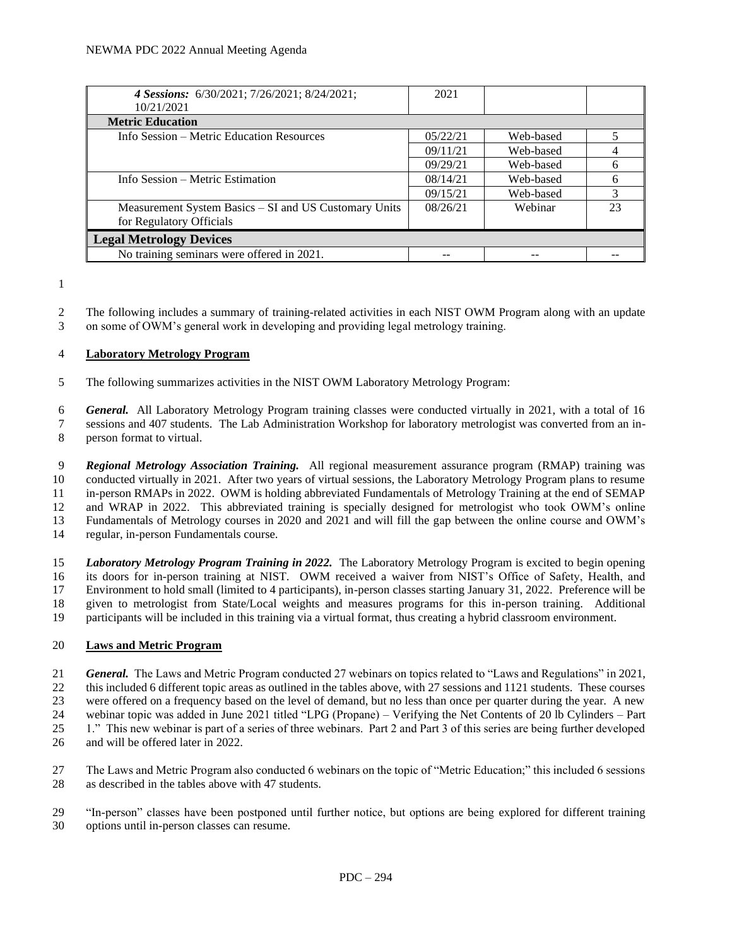| 4 Sessions: 6/30/2021; 7/26/2021; 8/24/2021;          | 2021     |           |    |
|-------------------------------------------------------|----------|-----------|----|
| 10/21/2021                                            |          |           |    |
| <b>Metric Education</b>                               |          |           |    |
| Info Session – Metric Education Resources             | 05/22/21 | Web-based |    |
|                                                       | 09/11/21 | Web-based |    |
|                                                       | 09/29/21 | Web-based | 6  |
| Info Session – Metric Estimation                      | 08/14/21 | Web-based | 6  |
|                                                       | 09/15/21 | Web-based | 3  |
| Measurement System Basics – SI and US Customary Units | 08/26/21 | Webinar   | 23 |
| for Regulatory Officials                              |          |           |    |
| <b>Legal Metrology Devices</b>                        |          |           |    |
| No training seminars were offered in 2021.            |          |           |    |

 The following includes a summary of training-related activities in each NIST OWM Program along with an update on some of OWM's general work in developing and providing legal metrology training.

## **Laboratory Metrology Program**

The following summarizes activities in the NIST OWM Laboratory Metrology Program:

 *General.* All Laboratory Metrology Program training classes were conducted virtually in 2021, with a total of 16 sessions and 407 students. The Lab Administration Workshop for laboratory metrologist was converted from an in-

person format to virtual.

 *Regional Metrology Association Training.* All regional measurement assurance program (RMAP) training was conducted virtually in 2021. After two years of virtual sessions, the Laboratory Metrology Program plans to resume in-person RMAPs in 2022. OWM is holding abbreviated Fundamentals of Metrology Training at the end of SEMAP and WRAP in 2022. This abbreviated training is specially designed for metrologist who took OWM's online Fundamentals of Metrology courses in 2020 and 2021 and will fill the gap between the online course and OWM's regular, in-person Fundamentals course.

 *Laboratory Metrology Program Training in 2022.* The Laboratory Metrology Program is excited to begin opening its doors for in-person training at NIST. OWM received a waiver from NIST's Office of Safety, Health, and Environment to hold small (limited to 4 participants), in-person classes starting January 31, 2022. Preference will be given to metrologist from State/Local weights and measures programs for this in-person training. Additional participants will be included in this training via a virtual format, thus creating a hybrid classroom environment.

### **Laws and Metric Program**

*General.* The Laws and Metric Program conducted 27 webinars on topics related to "Laws and Regulations" in 2021,

this included 6 different topic areas as outlined in the tables above, with 27 sessions and 1121 students. These courses

were offered on a frequency based on the level of demand, but no less than once per quarter during the year. A new

webinar topic was added in June 2021 titled "LPG (Propane) – Verifying the Net Contents of 20 lb Cylinders – Part

1." This new webinar is part of a series of three webinars. Part 2 and Part 3 of this series are being further developed

and will be offered later in 2022.

 The Laws and Metric Program also conducted 6 webinars on the topic of "Metric Education;" this included 6 sessions as described in the tables above with 47 students.

 "In-person" classes have been postponed until further notice, but options are being explored for different training options until in-person classes can resume.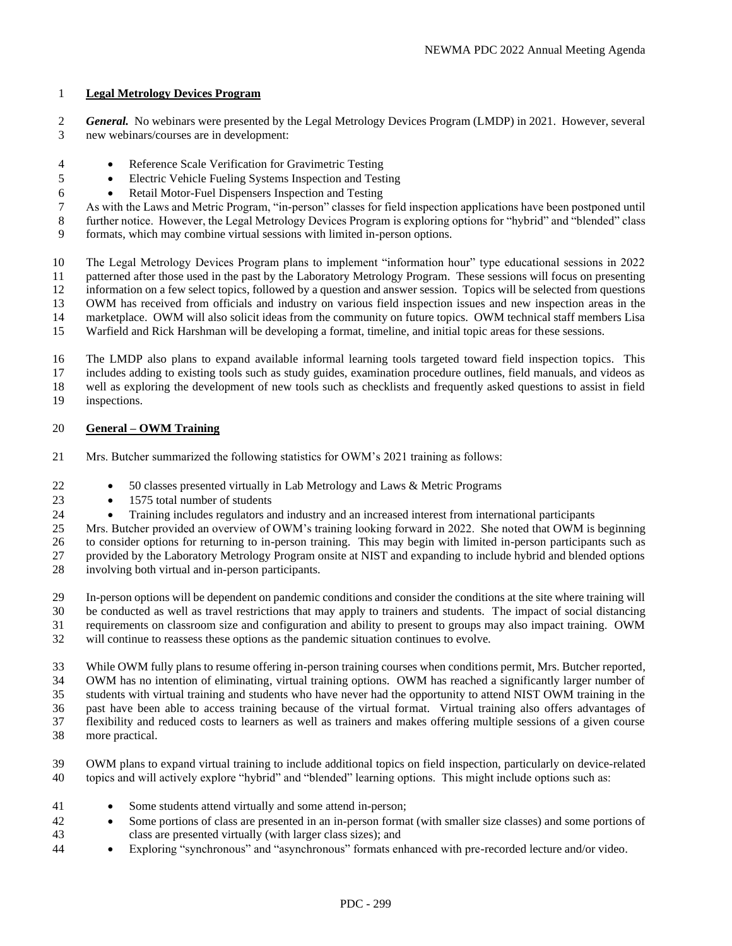## **Legal Metrology Devices Program**

*General.* No webinars were presented by the Legal Metrology Devices Program (LMDP) in 2021. However, several new webinars/courses are in development:

- Reference Scale Verification for Gravimetric Testing
- Electric Vehicle Fueling Systems Inspection and Testing
- Retail Motor-Fuel Dispensers Inspection and Testing

As with the Laws and Metric Program, "in-person" classes for field inspection applications have been postponed until

further notice. However, the Legal Metrology Devices Program is exploring options for "hybrid" and "blended" class

formats, which may combine virtual sessions with limited in-person options.

 The Legal Metrology Devices Program plans to implement "information hour" type educational sessions in 2022 patterned after those used in the past by the Laboratory Metrology Program. These sessions will focus on presenting information on a few select topics, followed by a question and answer session. Topics will be selected from questions OWM has received from officials and industry on various field inspection issues and new inspection areas in the

 marketplace. OWM will also solicit ideas from the community on future topics. OWM technical staff members Lisa Warfield and Rick Harshman will be developing a format, timeline, and initial topic areas for these sessions.

The LMDP also plans to expand available informal learning tools targeted toward field inspection topics. This

 includes adding to existing tools such as study guides, examination procedure outlines, field manuals, and videos as well as exploring the development of new tools such as checklists and frequently asked questions to assist in field

inspections.

#### **General – OWM Training**

- Mrs. Butcher summarized the following statistics for OWM's 2021 training as follows:
- 22 50 classes presented virtually in Lab Metrology and Laws & Metric Programs
- 23 1575 total number of students
- Training includes regulators and industry and an increased interest from international participants

 Mrs. Butcher provided an overview of OWM's training looking forward in 2022. She noted that OWM is beginning to consider options for returning to in-person training. This may begin with limited in-person participants such as provided by the Laboratory Metrology Program onsite at NIST and expanding to include hybrid and blended options involving both virtual and in-person participants.

 In-person options will be dependent on pandemic conditions and consider the conditions at the site where training will be conducted as well as travel restrictions that may apply to trainers and students. The impact of social distancing

requirements on classroom size and configuration and ability to present to groups may also impact training. OWM

will continue to reassess these options as the pandemic situation continues to evolve.

 While OWM fully plans to resume offering in-person training courses when conditions permit, Mrs. Butcher reported, OWM has no intention of eliminating, virtual training options. OWM has reached a significantly larger number of students with virtual training and students who have never had the opportunity to attend NIST OWM training in the past have been able to access training because of the virtual format. Virtual training also offers advantages of

flexibility and reduced costs to learners as well as trainers and makes offering multiple sessions of a given course

more practical.

 OWM plans to expand virtual training to include additional topics on field inspection, particularly on device-related topics and will actively explore "hybrid" and "blended" learning options. This might include options such as:

- 41 Some students attend virtually and some attend in-person;
- Some portions of class are presented in an in-person format (with smaller size classes) and some portions of class are presented virtually (with larger class sizes); and
- Exploring "synchronous" and "asynchronous" formats enhanced with pre-recorded lecture and/or video.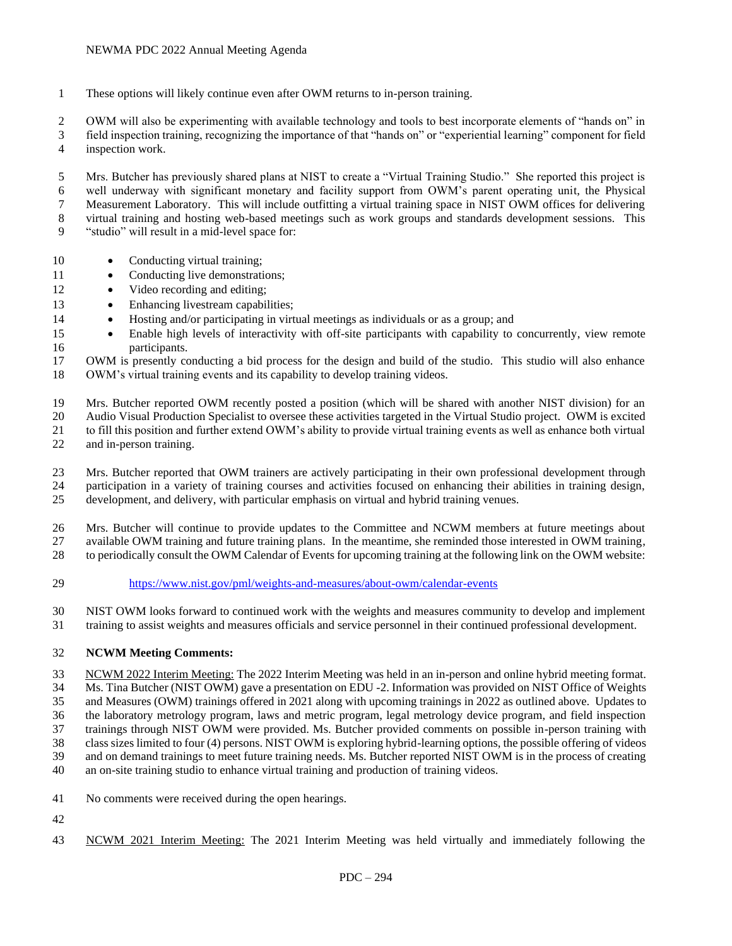These options will likely continue even after OWM returns to in-person training.

 OWM will also be experimenting with available technology and tools to best incorporate elements of "hands on" in field inspection training, recognizing the importance of that "hands on" or "experiential learning" component for field inspection work.

 Mrs. Butcher has previously shared plans at NIST to create a "Virtual Training Studio." She reported this project is well underway with significant monetary and facility support from OWM's parent operating unit, the Physical Measurement Laboratory. This will include outfitting a virtual training space in NIST OWM offices for delivering virtual training and hosting web-based meetings such as work groups and standards development sessions. This "studio" will result in a mid-level space for:

- 10 Conducting virtual training;
- 11 Conducting live demonstrations;
- 12 Video recording and editing;
- Enhancing livestream capabilities;
- Hosting and/or participating in virtual meetings as individuals or as a group; and
- Enable high levels of interactivity with off-site participants with capability to concurrently, view remote participants.
- OWM is presently conducting a bid process for the design and build of the studio. This studio will also enhance OWM's virtual training events and its capability to develop training videos.
- 
- Mrs. Butcher reported OWM recently posted a position (which will be shared with another NIST division) for an
- Audio Visual Production Specialist to oversee these activities targeted in the Virtual Studio project. OWM is excited to fill this position and further extend OWM's ability to provide virtual training events as well as enhance both virtual
- and in-person training.

 Mrs. Butcher reported that OWM trainers are actively participating in their own professional development through participation in a variety of training courses and activities focused on enhancing their abilities in training design,

- development, and delivery, with particular emphasis on virtual and hybrid training venues.
- Mrs. Butcher will continue to provide updates to the Committee and NCWM members at future meetings about available OWM training and future training plans. In the meantime, she reminded those interested in OWM training,
- to periodically consult the OWM Calendar of Events for upcoming training at the following link on the OWM website:
- <https://www.nist.gov/pml/weights-and-measures/about-owm/calendar-events>
- NIST OWM looks forward to continued work with the weights and measures community to develop and implement
- training to assist weights and measures officials and service personnel in their continued professional development.

## **NCWM Meeting Comments:**

- NCWM 2022 Interim Meeting: The 2022 Interim Meeting was held in an in-person and online hybrid meeting format. Ms. Tina Butcher (NIST OWM) gave a presentation on EDU -2. Information was provided on NIST Office of Weights
- and Measures (OWM) trainings offered in 2021 along with upcoming trainings in 2022 as outlined above. Updates to
- the laboratory metrology program, laws and metric program, legal metrology device program, and field inspection
- trainings through NIST OWM were provided. Ms. Butcher provided comments on possible in-person training with
- 38 class sizes limited to four (4) persons. NIST OWM is exploring hybrid-learning options, the possible offering of videos and on demand trainings to meet future training needs. Ms. Butcher reported NIST OWM is in the proc and on demand trainings to meet future training needs. Ms. Butcher reported NIST OWM is in the process of creating
- an on-site training studio to enhance virtual training and production of training videos.
- No comments were received during the open hearings.
- 
- NCWM 2021 Interim Meeting: The 2021 Interim Meeting was held virtually and immediately following the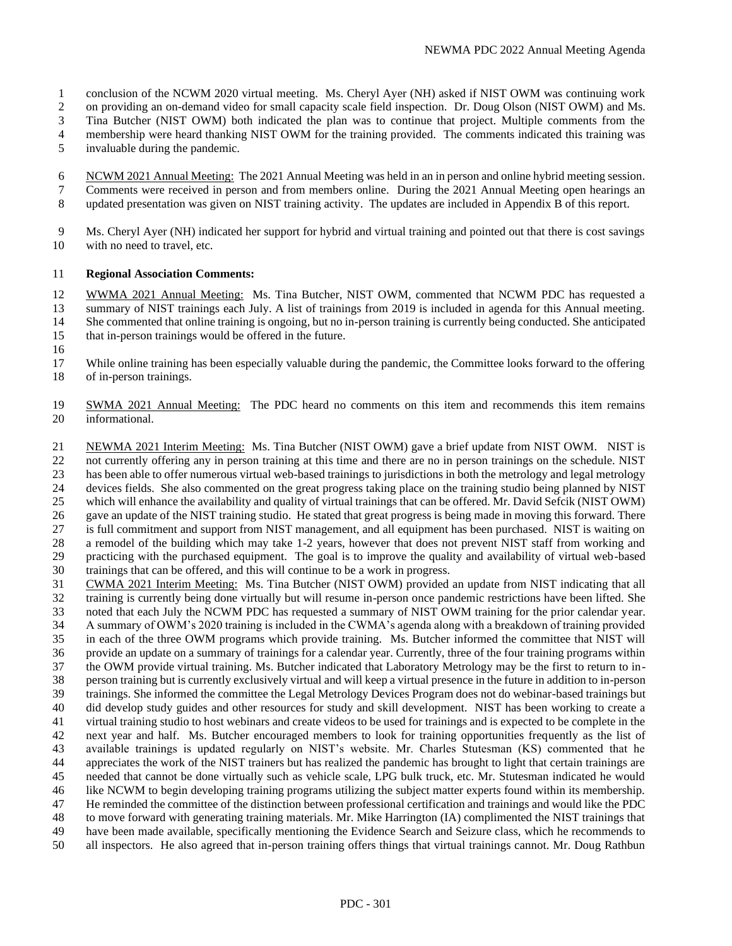- conclusion of the NCWM 2020 virtual meeting. Ms. Cheryl Ayer (NH) asked if NIST OWM was continuing work
- on providing an on-demand video for small capacity scale field inspection. Dr. Doug Olson (NIST OWM) and Ms.
- Tina Butcher (NIST OWM) both indicated the plan was to continue that project. Multiple comments from the
- membership were heard thanking NIST OWM for the training provided. The comments indicated this training was
- invaluable during the pandemic.
- NCWM 2021 Annual Meeting: The 2021 Annual Meeting was held in an in person and online hybrid meeting session.
- Comments were received in person and from members online. During the 2021 Annual Meeting open hearings an updated presentation was given on NIST training activity. The updates are included in Appendix B of this report.
- 
- Ms. Cheryl Ayer (NH) indicated her support for hybrid and virtual training and pointed out that there is cost savings with no need to travel, etc.

## **Regional Association Comments:**

 WWMA 2021 Annual Meeting: Ms. Tina Butcher, NIST OWM, commented that NCWM PDC has requested a summary of NIST trainings each July. A list of trainings from 2019 is included in agenda for this Annual meeting. She commented that online training is ongoing, but no in-person training is currently being conducted. She anticipated

- that in-person trainings would be offered in the future.
- 
- While online training has been especially valuable during the pandemic, the Committee looks forward to the offering of in-person trainings.
- SWMA 2021 Annual Meeting: The PDC heard no comments on this item and recommends this item remains informational.

21 NEWMA 2021 Interim Meeting: Ms. Tina Butcher (NIST OWM) gave a brief update from NIST OWM. NIST is<br>22 not currently offering any in person training at this time and there are no in person trainings on the schedule. NIST not currently offering any in person training at this time and there are no in person trainings on the schedule. NIST has been able to offer numerous virtual web-based trainings to jurisdictions in both the metrology and legal metrology devices fields. She also commented on the great progress taking place on the training studio being planned by NIST which will enhance the availability and quality of virtual trainings that can be offered. Mr. David Sefcik (NIST OWM) gave an update of the NIST training studio. He stated that great progress is being made in moving this forward. There is full commitment and support from NIST management, and all equipment has been purchased. NIST is waiting on a remodel of the building which may take 1-2 years, however that does not prevent NIST staff from working and practicing with the purchased equipment. The goal is to improve the quality and availability of virtual web-based trainings that can be offered, and this will continue to be a work in progress.

- CWMA 2021 Interim Meeting: Ms. Tina Butcher (NIST OWM) provided an update from NIST indicating that all training is currently being done virtually but will resume in-person once pandemic restrictions have been lifted. She noted that each July the NCWM PDC has requested a summary of NIST OWM training for the prior calendar year.
- A summary of OWM's 2020 training is included in the CWMA's agenda along with a breakdown of training provided in each of the three OWM programs which provide training. Ms. Butcher informed the committee that NIST will
- provide an update on a summary of trainings for a calendar year. Currently, three of the four training programs within
- the OWM provide virtual training. Ms. Butcher indicated that Laboratory Metrology may be the first to return to in-person training but is currently exclusively virtual and will keep a virtual presence in the future in addition to in-person
- trainings. She informed the committee the Legal Metrology Devices Program does not do webinar-based trainings but
- did develop study guides and other resources for study and skill development. NIST has been working to create a
- virtual training studio to host webinars and create videos to be used for trainings and is expected to be complete in the next year and half. Ms. Butcher encouraged members to look for training opportunities frequently as the list of
- available trainings is updated regularly on NIST's website. Mr. Charles Stutesman (KS) commented that he
- appreciates the work of the NIST trainers but has realized the pandemic has brought to light that certain trainings are
- needed that cannot be done virtually such as vehicle scale, LPG bulk truck, etc. Mr. Stutesman indicated he would
- like NCWM to begin developing training programs utilizing the subject matter experts found within its membership. He reminded the committee of the distinction between professional certification and trainings and would like the PDC
- to move forward with generating training materials. Mr. Mike Harrington (IA) complimented the NIST trainings that
- have been made available, specifically mentioning the Evidence Search and Seizure class, which he recommends to
- all inspectors. He also agreed that in-person training offers things that virtual trainings cannot. Mr. Doug Rathbun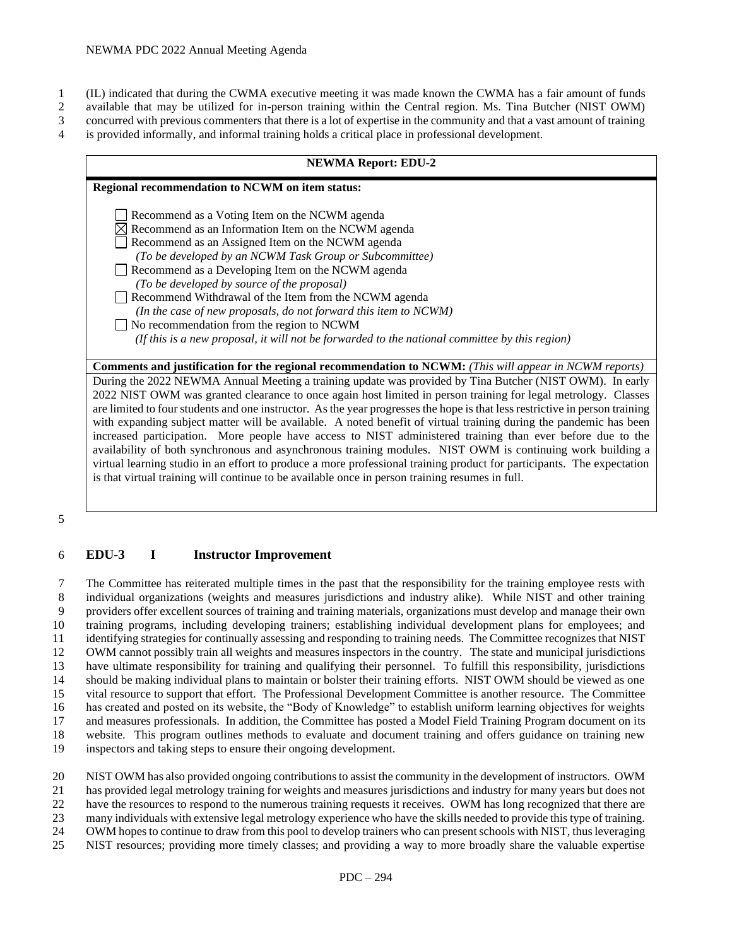- 1 (IL) indicated that during the CWMA executive meeting it was made known the CWMA has a fair amount of funds<br>2 available that may be utilized for in-person training within the Central region. Ms. Tina Butcher (NIST OWM)
- 2 available that may be utilized for in-person training within the Central region. Ms. Tina Butcher (NIST OWM) 3 concurred with previous commenters that there is a lot of expertise in the community and that a vast amount of training
- 4 is provided informally, and informal training holds a critical place in professional development.

| <b>NEWMA Report: EDU-2</b>                                                                                                   |
|------------------------------------------------------------------------------------------------------------------------------|
| Regional recommendation to NCWM on item status:                                                                              |
| Recommend as a Voting Item on the NCWM agenda                                                                                |
| $\boxtimes$ Recommend as an Information Item on the NCWM agenda                                                              |
| Recommend as an Assigned Item on the NCWM agenda                                                                             |
| (To be developed by an NCWM Task Group or Subcommittee)                                                                      |
| Recommend as a Developing Item on the NCWM agenda                                                                            |
| (To be developed by source of the proposal)                                                                                  |
| Recommend Withdrawal of the Item from the NCWM agenda                                                                        |
| (In the case of new proposals, do not forward this item to NCWM)                                                             |
| $\Box$ No recommendation from the region to NCWM                                                                             |
| (If this is a new proposal, it will not be forwarded to the national committee by this region)                               |
| Comments and justification for the regional recommendation to NCWM: (This will appear in NCWM reports)                       |
| During the 2022 NEWMA Annual Meeting a training update was provided by Tina Butcher (NIST OWM). In early                     |
| 2022 NIST OWM was granted clearance to once again host limited in person training for legal metrology. Classes               |
| are limited to four students and one instructor. As the year progresses the hope is that less restrictive in person training |
| with expanding subject matter will be available. A noted benefit of virtual training during the pandemic has been            |
| increased participation. More people have access to NIST administered training than ever before due to the                   |
| availability of both synchronous and asynchronous training modules. NIST OWM is continuing work building a                   |
| virtual learning studio in an effort to produce a more professional training product for participants. The expectation       |
| is that virtual training will continue to be available once in person training resumes in full.                              |

5

## <span id="page-13-0"></span>6 **EDU-3 I Instructor Improvement**

 The Committee has reiterated multiple times in the past that the responsibility for the training employee rests with individual organizations (weights and measures jurisdictions and industry alike). While NIST and other training providers offer excellent sources of training and training materials, organizations must develop and manage their own training programs, including developing trainers; establishing individual development plans for employees; and identifying strategies for continually assessing and responding to training needs. The Committee recognizes that NIST OWM cannot possibly train all weights and measures inspectors in the country. The state and municipal jurisdictions have ultimate responsibility for training and qualifying their personnel. To fulfill this responsibility, jurisdictions should be making individual plans to maintain or bolster their training efforts. NIST OWM should be viewed as one vital resource to support that effort. The Professional Development Committee is another resource. The Committee has created and posted on its website, the "Body of Knowledge" to establish uniform learning objectives for weights 17 and measures professionals. In addition, the Committee has posted a Model Field Training Program document on its website. This program outlines methods to evaluate and document training and offers guidance on training new inspectors and taking steps to ensure their ongoing development.

- 20 NIST OWM has also provided ongoing contributions to assist the community in the development of instructors. OWM 21 has provided legal metrology training for weights and measures jurisdictions and industry for many years but does not 22 have the resources to respond to the numerous training requests it receives. OWM has long recognized that there are
- 23 many individuals with extensive legal metrology experience who have the skills needed to provide this type of training.
- 24 OWM hopes to continue to draw from this pool to develop trainers who can present schools with NIST, thus leveraging
- 25 NIST resources; providing more timely classes; and providing a way to more broadly share the valuable expertise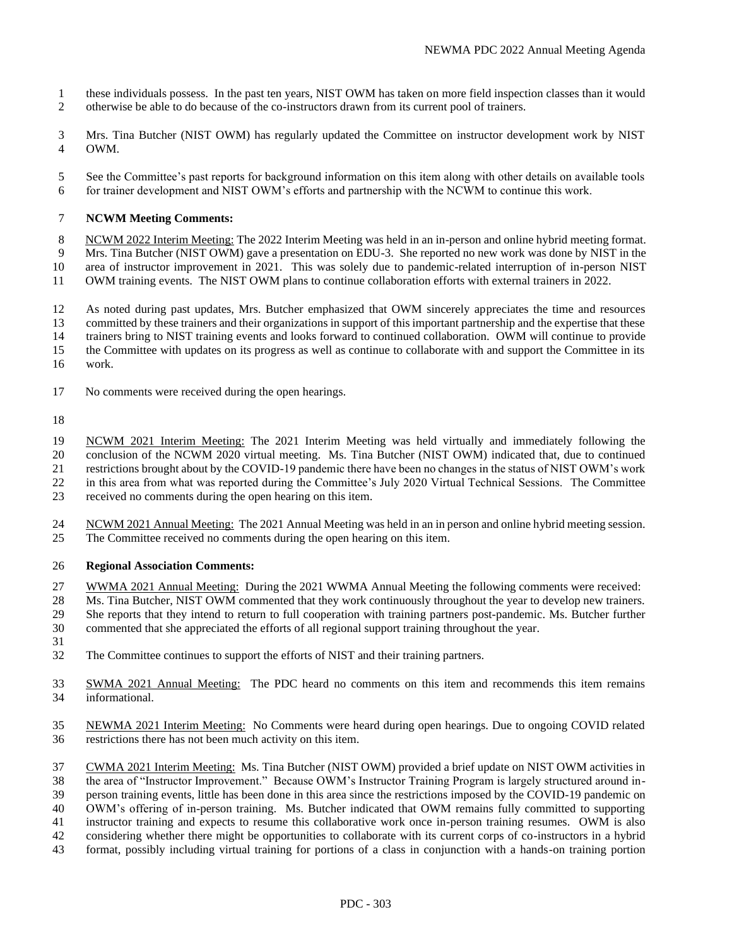- these individuals possess. In the past ten years, NIST OWM has taken on more field inspection classes than it would
- otherwise be able to do because of the co-instructors drawn from its current pool of trainers.
- Mrs. Tina Butcher (NIST OWM) has regularly updated the Committee on instructor development work by NIST OWM.
- See the Committee's past reports for background information on this item along with other details on available tools for trainer development and NIST OWM's efforts and partnership with the NCWM to continue this work.

## **NCWM Meeting Comments:**

- NCWM 2022 Interim Meeting: The 2022 Interim Meeting was held in an in-person and online hybrid meeting format. Mrs. Tina Butcher (NIST OWM) gave a presentation on EDU-3. She reported no new work was done by NIST in the area of instructor improvement in 2021. This was solely due to pandemic-related interruption of in-person NIST OWM training events. The NIST OWM plans to continue collaboration efforts with external trainers in 2022.
- As noted during past updates, Mrs. Butcher emphasized that OWM sincerely appreciates the time and resources
- committed by these trainers and their organizations in support of this important partnership and the expertise that these
- trainers bring to NIST training events and looks forward to continued collaboration. OWM will continue to provide
- the Committee with updates on its progress as well as continue to collaborate with and support the Committee in its
- work.
- No comments were received during the open hearings.
- 

 NCWM 2021 Interim Meeting: The 2021 Interim Meeting was held virtually and immediately following the conclusion of the NCWM 2020 virtual meeting. Ms. Tina Butcher (NIST OWM) indicated that, due to continued

- restrictions brought about by the COVID-19 pandemic there have been no changes in the status of NIST OWM's work
- in this area from what was reported during the Committee's July 2020 Virtual Technical Sessions. The Committee
- received no comments during the open hearing on this item.
- 24 NCWM 2021 Annual Meeting: The 2021 Annual Meeting was held in an in person and online hybrid meeting session. The Committee received no comments during the open hearing on this item.

### **Regional Association Comments:**

- WWMA 2021 Annual Meeting: During the 2021 WWMA Annual Meeting the following comments were received:
- Ms. Tina Butcher, NIST OWM commented that they work continuously throughout the year to develop new trainers.
- She reports that they intend to return to full cooperation with training partners post-pandemic. Ms. Butcher further commented that she appreciated the efforts of all regional support training throughout the year.
- 
- The Committee continues to support the efforts of NIST and their training partners.
- 33 SWMA 2021 Annual Meeting: The PDC heard no comments on this item and recommends this item remains informational.
- NEWMA 2021 Interim Meeting: No Comments were heard during open hearings. Due to ongoing COVID related restrictions there has not been much activity on this item.
- CWMA 2021 Interim Meeting: Ms. Tina Butcher (NIST OWM) provided a brief update on NIST OWM activities in
- the area of "Instructor Improvement." Because OWM's Instructor Training Program is largely structured around in-
- person training events, little has been done in this area since the restrictions imposed by the COVID-19 pandemic on
- OWM's offering of in-person training. Ms. Butcher indicated that OWM remains fully committed to supporting
- instructor training and expects to resume this collaborative work once in-person training resumes. OWM is also
- considering whether there might be opportunities to collaborate with its current corps of co-instructors in a hybrid
- format, possibly including virtual training for portions of a class in conjunction with a hands-on training portion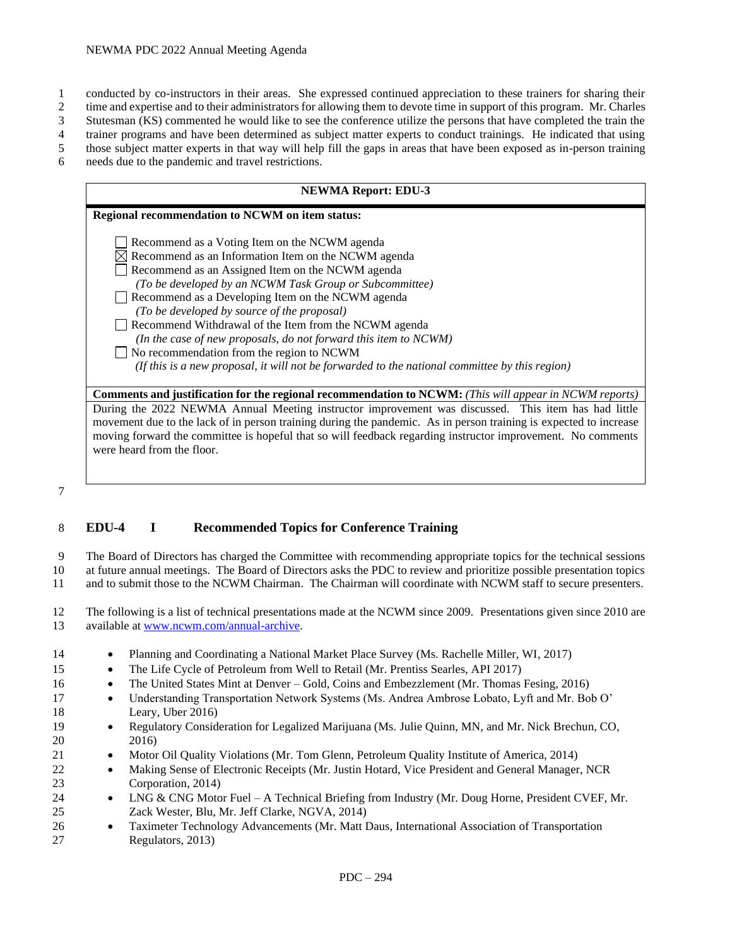1 conducted by co-instructors in their areas. She expressed continued appreciation to these trainers for sharing their<br>2 time and expertise and to their administrators for allowing them to devote time in support of this pr

2 time and expertise and to their administrators for allowing them to devote time in support of this program. Mr. Charles

3 Stutesman (KS) commented he would like to see the conference utilize the persons that have completed the train the

4 trainer programs and have been determined as subject matter experts to conduct trainings. He indicated that using

- 5 those subject matter experts in that way will help fill the gaps in areas that have been exposed as in-person training
- 6 needs due to the pandemic and travel restrictions.

were heard from the floor.

| <b>NEWMA Report: EDU-3</b>                                                                                        |
|-------------------------------------------------------------------------------------------------------------------|
| Regional recommendation to NCWM on item status:                                                                   |
| Recommend as a Voting Item on the NCWM agenda                                                                     |
| $\boxtimes$ Recommend as an Information Item on the NCWM agenda                                                   |
| Recommend as an Assigned Item on the NCWM agenda                                                                  |
| (To be developed by an NCWM Task Group or Subcommittee)                                                           |
| Recommend as a Developing Item on the NCWM agenda                                                                 |
| (To be developed by source of the proposal)                                                                       |
| Recommend Withdrawal of the Item from the NCWM agenda                                                             |
| (In the case of new proposals, do not forward this item to NCWM)                                                  |
| No recommendation from the region to NCWM                                                                         |
| (If this is a new proposal, it will not be forwarded to the national committee by this region)                    |
|                                                                                                                   |
| <b>Comments and justification for the regional recommendation to NCWM:</b> (This will appear in NCWM reports)     |
| During the 2022 NEWMA Annual Meeting instructor improvement was discussed. This item has had little               |
| movement due to the lack of in person training during the pandemic. As in person training is expected to increase |

moving forward the committee is hopeful that so will feedback regarding instructor improvement. No comments

<span id="page-15-0"></span>7

# 8 **EDU-4 I Recommended Topics for Conference Training**

9 The Board of Directors has charged the Committee with recommending appropriate topics for the technical sessions 10 at future annual meetings. The Board of Directors asks the PDC to review and prioritize possible presentation topics 11 and to submit those to the NCWM Chairman. The Chairman will coordinate with NCWM staff to secure presenters.

12 The following is a list of technical presentations made at the NCWM since 2009. Presentations given since 2010 are 13 available at [www.ncwm.com/annual-archive.](https://www.ncwm.com/annual-archive)

- 14 Planning and Coordinating a National Market Place Survey (Ms. Rachelle Miller, WI, 2017)
- 15 The Life Cycle of Petroleum from Well to Retail (Mr. Prentiss Searles, API 2017)
- 16 The United States Mint at Denver Gold, Coins and Embezzlement (Mr. Thomas Fesing, 2016)
- 17 Understanding Transportation Network Systems (Ms. Andrea Ambrose Lobato, Lyft and Mr. Bob O' 18 Leary, Uber 2016)
- 19 Regulatory Consideration for Legalized Marijuana (Ms. Julie Quinn, MN, and Mr. Nick Brechun, CO, 20 2016)
- 21 Motor Oil Quality Violations (Mr. Tom Glenn, Petroleum Quality Institute of America, 2014)
- 22 Making Sense of Electronic Receipts (Mr. Justin Hotard, Vice President and General Manager, NCR 23 Corporation, 2014)
- 24 LNG & CNG Motor Fuel A Technical Briefing from Industry (Mr. Doug Horne, President CVEF, Mr. 25 Zack Wester, Blu, Mr. Jeff Clarke, NGVA, 2014)
- 26 Taximeter Technology Advancements (Mr. Matt Daus, International Association of Transportation 27 Regulators, 2013)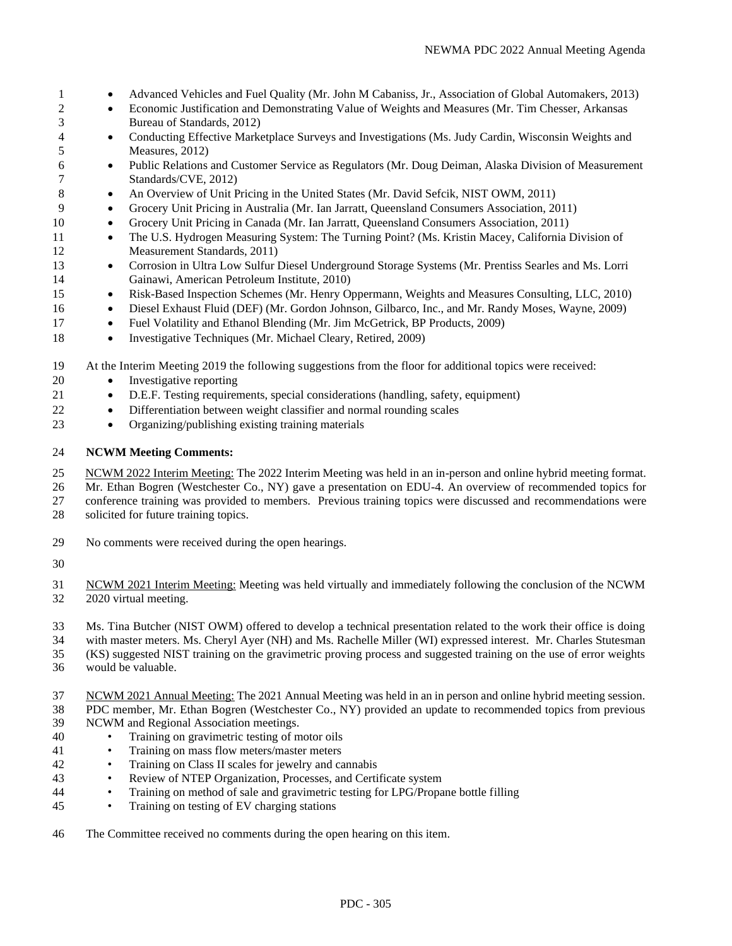- 1 Advanced Vehicles and Fuel Quality (Mr. John M Cabaniss, Jr., Association of Global Automakers, 2013)
- Economic Justification and Demonstrating Value of Weights and Measures (Mr. Tim Chesser, Arkansas Bureau of Standards, 2012)
- Conducting Effective Marketplace Surveys and Investigations (Ms. Judy Cardin, Wisconsin Weights and Measures, 2012)
- Public Relations and Customer Service as Regulators (Mr. Doug Deiman, Alaska Division of Measurement Standards/CVE, 2012)
- 8 An Overview of Unit Pricing in the United States (Mr. David Sefcik, NIST OWM, 2011)
- Grocery Unit Pricing in Australia (Mr. Ian Jarratt, Queensland Consumers Association, 2011)
- Grocery Unit Pricing in Canada (Mr. Ian Jarratt, Queensland Consumers Association, 2011)
- The U.S. Hydrogen Measuring System: The Turning Point? (Ms. Kristin Macey, California Division of Measurement Standards, 2011)
- Corrosion in Ultra Low Sulfur Diesel Underground Storage Systems (Mr. Prentiss Searles and Ms. Lorri Gainawi, American Petroleum Institute, 2010)
- Risk-Based Inspection Schemes (Mr. Henry Oppermann, Weights and Measures Consulting, LLC, 2010)
- Diesel Exhaust Fluid (DEF) (Mr. Gordon Johnson, Gilbarco, Inc., and Mr. Randy Moses, Wayne, 2009)
- Fuel Volatility and Ethanol Blending (Mr. Jim McGetrick, BP Products, 2009)
- 18 Investigative Techniques (Mr. Michael Cleary, Retired, 2009)
- At the Interim Meeting 2019 the following suggestions from the floor for additional topics were received:
- Investigative reporting
- D.E.F. Testing requirements, special considerations (handling, safety, equipment)
- Differentiation between weight classifier and normal rounding scales
- Organizing/publishing existing training materials

### **NCWM Meeting Comments:**

- 25 NCWM 2022 Interim Meeting: The 2022 Interim Meeting was held in an in-person and online hybrid meeting format.
- Mr. Ethan Bogren (Westchester Co., NY) gave a presentation on EDU-4. An overview of recommended topics for conference training was provided to members. Previous training topics were discussed and recommendations were solicited for future training topics.
- No comments were received during the open hearings.
- 

 NCWM 2021 Interim Meeting: Meeting was held virtually and immediately following the conclusion of the NCWM 2020 virtual meeting.

- Ms. Tina Butcher (NIST OWM) offered to develop a technical presentation related to the work their office is doing
- with master meters. Ms. Cheryl Ayer (NH) and Ms. Rachelle Miller (WI) expressed interest. Mr. Charles Stutesman
- (KS) suggested NIST training on the gravimetric proving process and suggested training on the use of error weights
- would be valuable.
- 37 NCWM 2021 Annual Meeting: The 2021 Annual Meeting was held in an in person and online hybrid meeting session.
- PDC member, Mr. Ethan Bogren (Westchester Co., NY) provided an update to recommended topics from previous NCWM and Regional Association meetings.
- Training on gravimetric testing of motor oils
- Training on mass flow meters/master meters
- Training on Class II scales for jewelry and cannabis
- Review of NTEP Organization, Processes, and Certificate system
- Training on method of sale and gravimetric testing for LPG/Propane bottle filling
- Training on testing of EV charging stations
- The Committee received no comments during the open hearing on this item.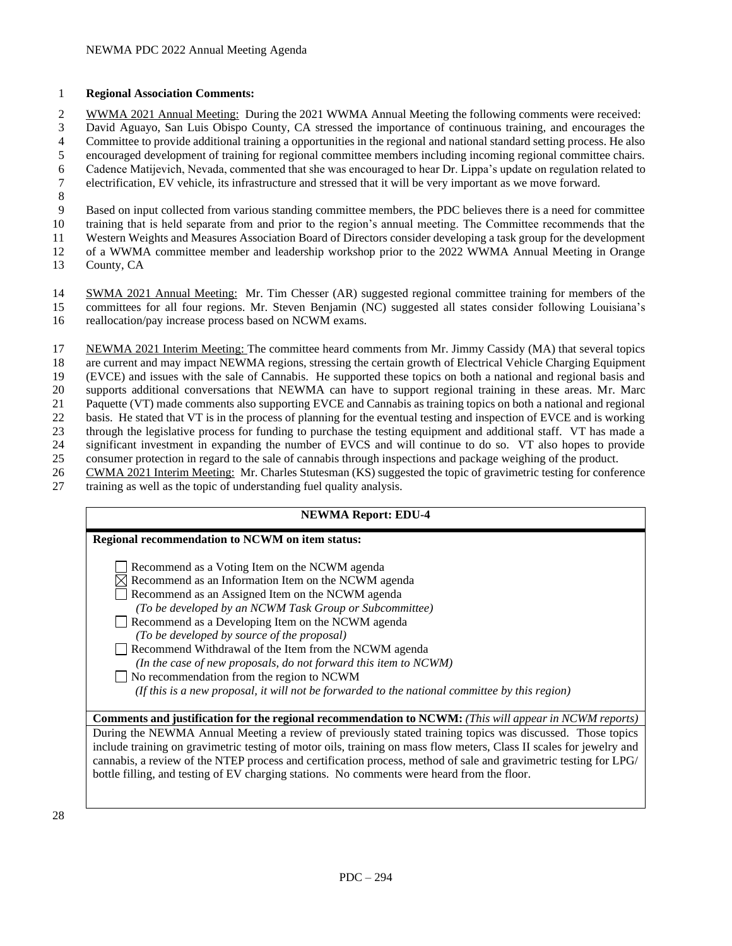#### 1 **Regional Association Comments:**

2 WWMA 2021 Annual Meeting: During the 2021 WWMA Annual Meeting the following comments were received:

3 David Aguayo, San Luis Obispo County, CA stressed the importance of continuous training, and encourages the

4 Committee to provide additional training a opportunities in the regional and national standard setting process. He also

5 encouraged development of training for regional committee members including incoming regional committee chairs.

6 Cadence Matijevich, Nevada, commented that she was encouraged to hear Dr. Lippa's update on regulation related to 7 electrification, EV vehicle, its infrastructure and stressed that it will be very important as we move forward.

8 9 Based on input collected from various standing committee members, the PDC believes there is a need for committee

10 training that is held separate from and prior to the region's annual meeting. The Committee recommends that the

11 Western Weights and Measures Association Board of Directors consider developing a task group for the development

12 of a WWMA committee member and leadership workshop prior to the 2022 WWMA Annual Meeting in Orange

13 County, CA

14 SWMA 2021 Annual Meeting: Mr. Tim Chesser (AR) suggested regional committee training for members of the 15 committees for all four regions. Mr. Steven Benjamin (NC) suggested all states consider following Louisiana's

16 reallocation/pay increase process based on NCWM exams.

17 NEWMA 2021 Interim Meeting: The committee heard comments from Mr. Jimmy Cassidy (MA) that several topics

18 are current and may impact NEWMA regions, stressing the certain growth of Electrical Vehicle Charging Equipment

19 (EVCE) and issues with the sale of Cannabis. He supported these topics on both a national and regional basis and

20 supports additional conversations that NEWMA can have to support regional training in these areas. Mr. Marc

21 Paquette (VT) made comments also supporting EVCE and Cannabis as training topics on both a national and regional

22 basis. He stated that VT is in the process of planning for the eventual testing and inspection of EVCE and is working

- 23 through the legislative process for funding to purchase the testing equipment and additional staff. VT has made a
- 24 significant investment in expanding the number of EVCS and will continue to do so. VT also hopes to provide
- 25 consumer protection in regard to the sale of cannabis through inspections and package weighing of the product.
- 26 CWMA 2021 Interim Meeting: Mr. Charles Stutesman (KS) suggested the topic of gravimetric testing for conference 27 training as well as the topic of understanding fuel quality analysis.

## **NEWMA Report: EDU-4**

## **Regional recommendation to NCWM on item status:**

Recommend as a Voting Item on the NCWM agenda

 $\boxtimes$  Recommend as an Information Item on the NCWM agenda

- Recommend as an Assigned Item on the NCWM agenda
- *(To be developed by an NCWM Task Group or Subcommittee)*
- Recommend as a Developing Item on the NCWM agenda
	- *(To be developed by source of the proposal)*
- Recommend Withdrawal of the Item from the NCWM agenda
	- *(In the case of new proposals, do not forward this item to NCWM)*
- No recommendation from the region to NCWM

 *(If this is a new proposal, it will not be forwarded to the national committee by this region)*

**Comments and justification for the regional recommendation to NCWM:** *(This will appear in NCWM reports)* During the NEWMA Annual Meeting a review of previously stated training topics was discussed. Those topics include training on gravimetric testing of motor oils, training on mass flow meters, Class II scales for jewelry and cannabis, a review of the NTEP process and certification process, method of sale and gravimetric testing for LPG/ bottle filling, and testing of EV charging stations. No comments were heard from the floor.

28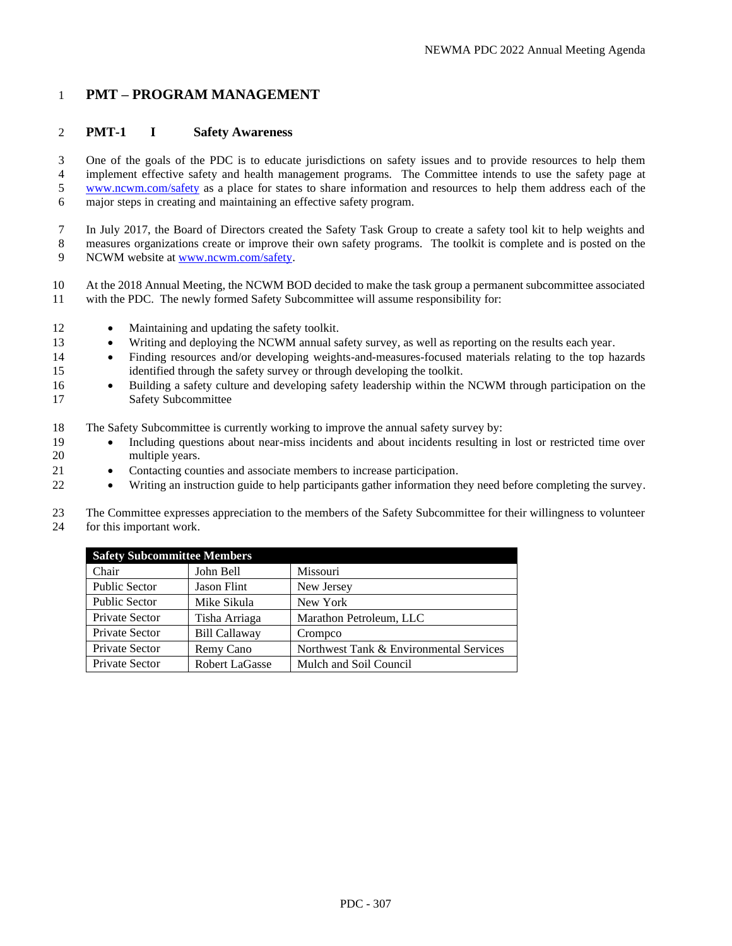# <span id="page-18-0"></span>1 **PMT – PROGRAM MANAGEMENT**

## <span id="page-18-1"></span>2 **PMT-1 I Safety Awareness**

 One of the goals of the PDC is to educate jurisdictions on safety issues and to provide resources to help them implement effective safety and health management programs. The Committee intends to use the safety page at [www.ncwm.com/safety](https://www.ncwm.com/safety) as a place for states to share information and resources to help them address each of the major steps in creating and maintaining an effective safety program.

7 In July 2017, the Board of Directors created the Safety Task Group to create a safety tool kit to help weights and 8 measures organizations create or improve their own safety programs. The toolkit is complete and is posted on the 9 NCWM website at [www.ncwm.com/safety.](https://www.ncwm.com/safety)

10 At the 2018 Annual Meeting, the NCWM BOD decided to make the task group a permanent subcommittee associated 11 with the PDC. The newly formed Safety Subcommittee will assume responsibility for:

- 12 Maintaining and updating the safety toolkit.
- 13 Writing and deploying the NCWM annual safety survey, as well as reporting on the results each year.
- 14 Finding resources and/or developing weights-and-measures-focused materials relating to the top hazards 15 identified through the safety survey or through developing the toolkit.
- 16 Building a safety culture and developing safety leadership within the NCWM through participation on the 17 Safety Subcommittee
- 18 The Safety Subcommittee is currently working to improve the annual safety survey by:
- 19 Including questions about near-miss incidents and about incidents resulting in lost or restricted time over 20 multiple years.
- 21 Contacting counties and associate members to increase participation.
- <sup>22</sup> Writing an instruction guide to help participants gather information they need before completing the survey.

23 The Committee expresses appreciation to the members of the Safety Subcommittee for their willingness to volunteer 24 for this important work.

| <b>Safety Subcommittee Members</b> |                      |                                         |  |
|------------------------------------|----------------------|-----------------------------------------|--|
| Chair                              | John Bell            | Missouri                                |  |
| <b>Public Sector</b>               | <b>Jason Flint</b>   | New Jersey                              |  |
| <b>Public Sector</b>               | Mike Sikula          | New York                                |  |
| Private Sector                     | Tisha Arriaga        | Marathon Petroleum, LLC                 |  |
| Private Sector                     | <b>Bill Callaway</b> | Crompco                                 |  |
| Private Sector                     | Remy Cano            | Northwest Tank & Environmental Services |  |
| Private Sector                     | Robert LaGasse       | Mulch and Soil Council                  |  |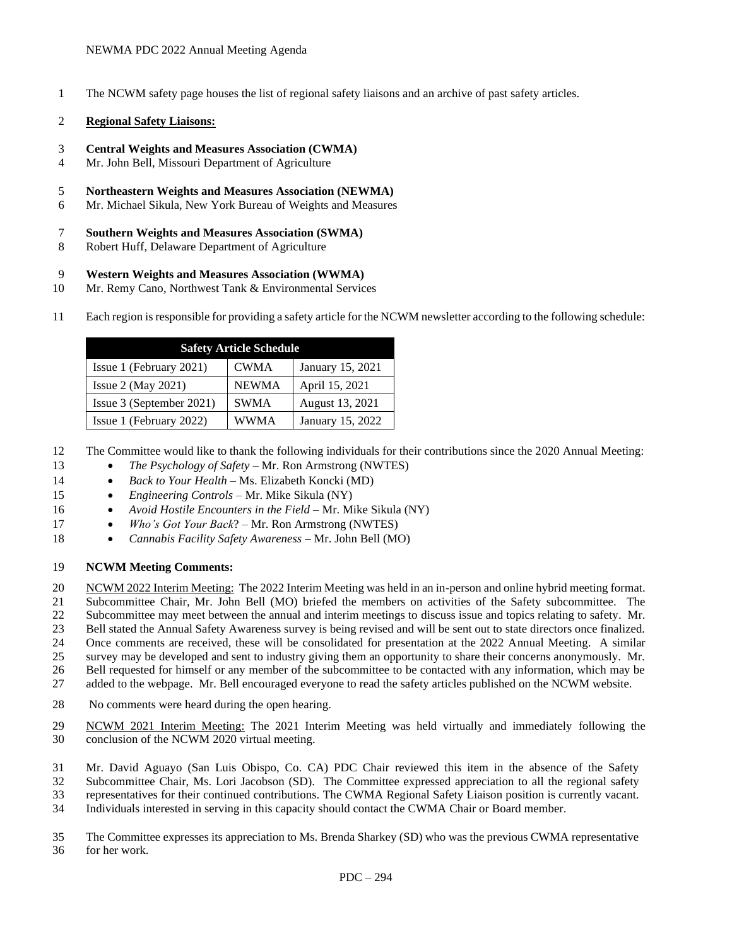The NCWM safety page houses the list of regional safety liaisons and an archive of past safety articles.

## **Regional Safety Liaisons:**

- **Central Weights and Measures Association (CWMA)**
- Mr. John Bell, Missouri Department of Agriculture
- **Northeastern Weights and Measures Association (NEWMA)**
- Mr. Michael Sikula, New York Bureau of Weights and Measures

## **Southern Weights and Measures Association (SWMA)**

Robert Huff, Delaware Department of Agriculture

## **Western Weights and Measures Association (WWMA)**

- Mr. Remy Cano, Northwest Tank & Environmental Services
- Each region is responsible for providing a safety article for the NCWM newsletter according to the following schedule:

| <b>Safety Article Schedule</b> |              |                  |  |
|--------------------------------|--------------|------------------|--|
| Issue 1 (February 2021)        | <b>CWMA</b>  | January 15, 2021 |  |
| Issue $2$ (May $2021$ )        | <b>NEWMA</b> | April 15, 2021   |  |
| Issue 3 (September 2021)       | <b>SWMA</b>  | August 13, 2021  |  |
| Issue 1 (February 2022)        | WWMA         | January 15, 2022 |  |

- The Committee would like to thank the following individuals for their contributions since the 2020 Annual Meeting:
- *The Psychology of Safety* Mr. Ron Armstrong (NWTES)
- *Back to Your Health*  Ms. Elizabeth Koncki (MD)
- *Engineering Controls*  Mr. Mike Sikula (NY)
- *Avoid Hostile Encounters in the Field* Mr. Mike Sikula (NY)
- *Who's Got Your Back*? Mr. Ron Armstrong (NWTES)
- *Cannabis Facility Safety Awareness* Mr. John Bell (MO)

## **NCWM Meeting Comments:**

- 20 NCWM 2022 Interim Meeting: The 2022 Interim Meeting was held in an in-person and online hybrid meeting format.
- Subcommittee Chair, Mr. John Bell (MO) briefed the members on activities of the Safety subcommittee. The Subcommittee may meet between the annual and interim meetings to discuss issue and topics relating to safety. Mr.
- Bell stated the Annual Safety Awareness survey is being revised and will be sent out to state directors once finalized.
- Once comments are received, these will be consolidated for presentation at the 2022 Annual Meeting. A similar
- survey may be developed and sent to industry giving them an opportunity to share their concerns anonymously. Mr.
- Bell requested for himself or any member of the subcommittee to be contacted with any information, which may be
- added to the webpage. Mr. Bell encouraged everyone to read the safety articles published on the NCWM website.
- No comments were heard during the open hearing.
- 29 NCWM 2021 Interim Meeting: The 2021 Interim Meeting was held virtually and immediately following the conclusion of the NCWM 2020 virtual meeting.
- Mr. David Aguayo (San Luis Obispo, Co. CA) PDC Chair reviewed this item in the absence of the Safety
- Subcommittee Chair, Ms. Lori Jacobson (SD). The Committee expressed appreciation to all the regional safety
- representatives for their continued contributions. The CWMA Regional Safety Liaison position is currently vacant.
- Individuals interested in serving in this capacity should contact the CWMA Chair or Board member.

The Committee expresses its appreciation to Ms. Brenda Sharkey (SD) who was the previous CWMA representative

for her work.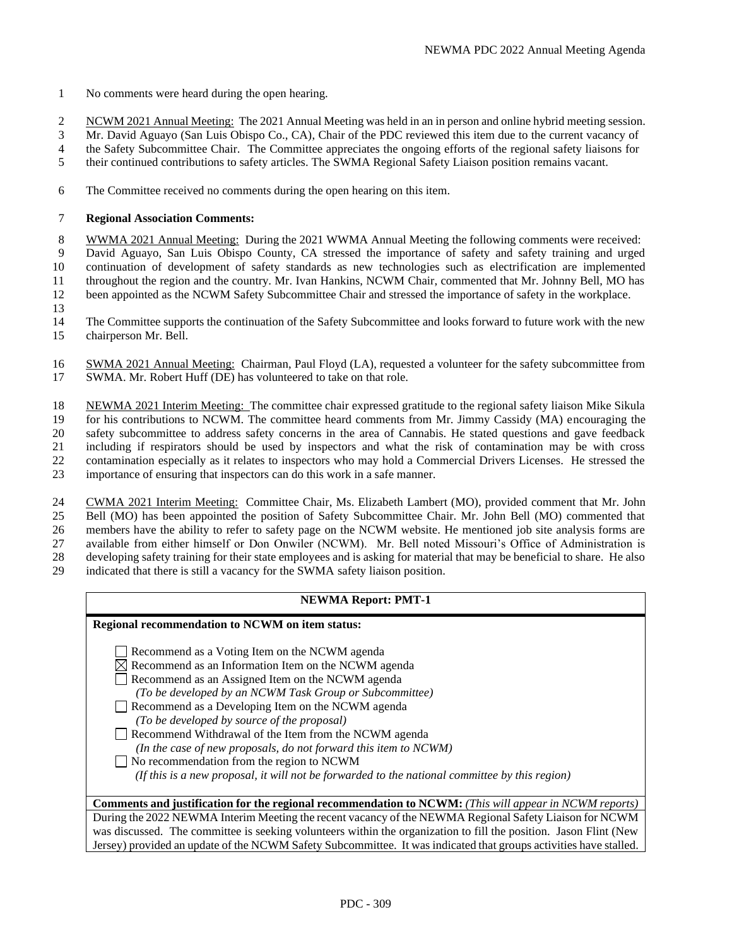- 1 No comments were heard during the open hearing.
- 2 NCWM 2021 Annual Meeting: The 2021 Annual Meeting was held in an in person and online hybrid meeting session.
- 3 Mr. David Aguayo (San Luis Obispo Co., CA), Chair of the PDC reviewed this item due to the current vacancy of
- 4 the Safety Subcommittee Chair. The Committee appreciates the ongoing efforts of the regional safety liaisons for
- 5 their continued contributions to safety articles. The SWMA Regional Safety Liaison position remains vacant.
- 6 The Committee received no comments during the open hearing on this item.

#### 7 **Regional Association Comments:**

 WWMA 2021 Annual Meeting: During the 2021 WWMA Annual Meeting the following comments were received: David Aguayo, San Luis Obispo County, CA stressed the importance of safety and safety training and urged continuation of development of safety standards as new technologies such as electrification are implemented throughout the region and the country. Mr. Ivan Hankins, NCWM Chair, commented that Mr. Johnny Bell, MO has been appointed as the NCWM Safety Subcommittee Chair and stressed the importance of safety in the workplace.

13

18 NEWMA 2021 Interim Meeting: The committee chair expressed gratitude to the regional safety liaison Mike Sikula 19 for his contributions to NCWM. The committee heard comments from Mr. Jimmy Cassidy (MA) encouraging the 20 safety subcommittee to address safety concerns in the area of Cannabis. He stated questions and gave feedback<br>21 including if respirators should be used by inspectors and what the risk of contamination may be with cross 21 including if respirators should be used by inspectors and what the risk of contamination may be with cross<br>22 contamination especially as it relates to inspectors who may hold a Commercial Drivers Licenses. He stressed 22 contamination especially as it relates to inspectors who may hold a Commercial Drivers Licenses. He stressed the 23 importance of ensuring that inspectors can do this work in a safe manner.

 CWMA 2021 Interim Meeting: Committee Chair, Ms. Elizabeth Lambert (MO), provided comment that Mr. John Bell (MO) has been appointed the position of Safety Subcommittee Chair. Mr. John Bell (MO) commented that members have the ability to refer to safety page on the NCWM website. He mentioned job site analysis forms are available from either himself or Don Onwiler (NCWM). Mr. Bell noted Missouri's Office of Administration is developing safety training for their state employees and is asking for material that may be beneficial to share. He also indicated that there is still a vacancy for the SWMA safety liaison position.

## **NEWMA Report: PMT-1**

| Regional recommendation to NCWM on item status: |
|-------------------------------------------------|
| Recommend as a Voting Item on the NCWM agenda   |

Recommend as a Voting Item on the NCWM agenda  $\boxtimes$  Recommend as an Information Item on the NCWM agenda

 $\Box$  Recommend as an Assigned Item on the NCWM agenda

*(To be developed by an NCWM Task Group or Subcommittee)*

- $\Box$  Recommend as a Developing Item on the NCWM agenda
	- *(To be developed by source of the proposal)*
- Recommend Withdrawal of the Item from the NCWM agenda

*(In the case of new proposals, do not forward this item to NCWM)*

No recommendation from the region to NCWM

 *(If this is a new proposal, it will not be forwarded to the national committee by this region)*

**Comments and justification for the regional recommendation to NCWM:** *(This will appear in NCWM reports)* During the 2022 NEWMA Interim Meeting the recent vacancy of the NEWMA Regional Safety Liaison for NCWM was discussed. The committee is seeking volunteers within the organization to fill the position. Jason Flint (New Jersey) provided an update of the NCWM Safety Subcommittee. It was indicated that groups activities have stalled.

<sup>14</sup> The Committee supports the continuation of the Safety Subcommittee and looks forward to future work with the new 15 chairperson Mr. Bell.

<sup>16</sup> SWMA 2021 Annual Meeting: Chairman, Paul Floyd (LA), requested a volunteer for the safety subcommittee from 17 SWMA. Mr. Robert Huff (DE) has volunteered to take on that role.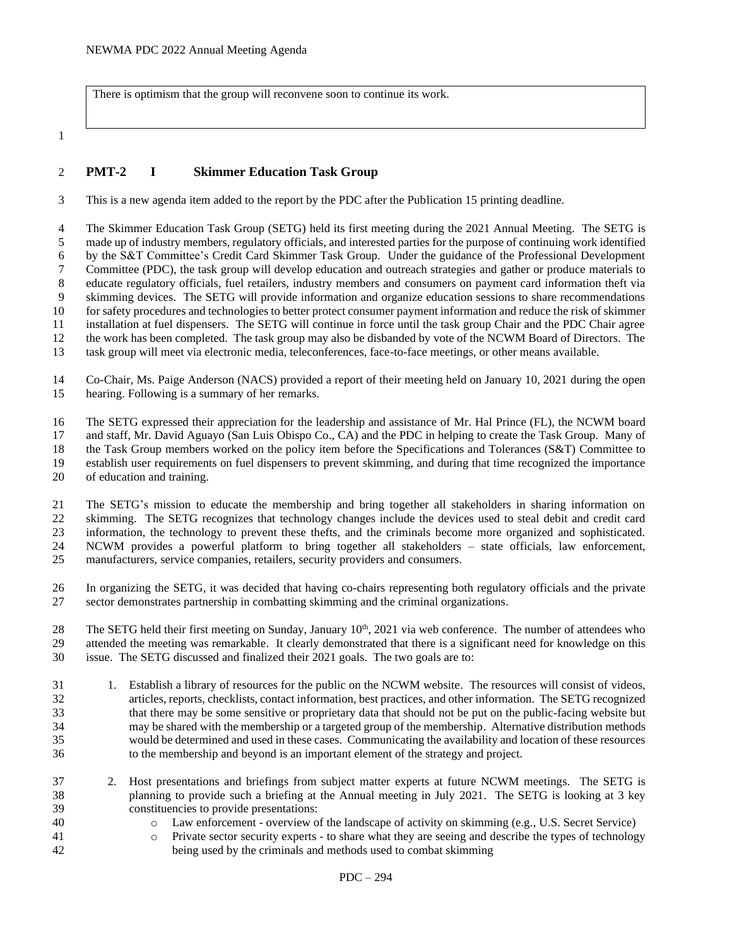There is optimism that the group will reconvene soon to continue its work.

<span id="page-21-0"></span>

## **PMT-2 I Skimmer Education Task Group**

This is a new agenda item added to the report by the PDC after the Publication 15 printing deadline.

 The Skimmer Education Task Group (SETG) held its first meeting during the 2021 Annual Meeting. The SETG is made up of industry members, regulatory officials, and interested parties for the purpose of continuing work identified by the S&T Committee's Credit Card Skimmer Task Group. Under the guidance of the Professional Development Committee (PDC), the task group will develop education and outreach strategies and gather or produce materials to educate regulatory officials, fuel retailers, industry members and consumers on payment card information theft via skimming devices. The SETG will provide information and organize education sessions to share recommendations for safety procedures and technologies to better protect consumer payment information and reduce the risk of skimmer installation at fuel dispensers. The SETG will continue in force until the task group Chair and the PDC Chair agree the work has been completed. The task group may also be disbanded by vote of the NCWM Board of Directors. The

task group will meet via electronic media, teleconferences, face-to-face meetings, or other means available.

 Co-Chair, Ms. Paige Anderson (NACS) provided a report of their meeting held on January 10, 2021 during the open hearing. Following is a summary of her remarks.

The SETG expressed their appreciation for the leadership and assistance of Mr. Hal Prince (FL), the NCWM board

and staff, Mr. David Aguayo (San Luis Obispo Co., CA) and the PDC in helping to create the Task Group. Many of

the Task Group members worked on the policy item before the Specifications and Tolerances (S&T) Committee to

establish user requirements on fuel dispensers to prevent skimming, and during that time recognized the importance

of education and training.

 The SETG's mission to educate the membership and bring together all stakeholders in sharing information on skimming. The SETG recognizes that technology changes include the devices used to steal debit and credit card information, the technology to prevent these thefts, and the criminals become more organized and sophisticated. NCWM provides a powerful platform to bring together all stakeholders – state officials, law enforcement, manufacturers, service companies, retailers, security providers and consumers.

 In organizing the SETG, it was decided that having co-chairs representing both regulatory officials and the private sector demonstrates partnership in combatting skimming and the criminal organizations.

28 The SETG held their first meeting on Sunday, January  $10<sup>th</sup>$ , 2021 via web conference. The number of attendees who attended the meeting was remarkable. It clearly demonstrated that there is a significant need for knowledge on this issue. The SETG discussed and finalized their 2021 goals. The two goals are to:

 1. Establish a library of resources for the public on the NCWM website. The resources will consist of videos, articles, reports, checklists, contact information, best practices, and other information. The SETG recognized that there may be some sensitive or proprietary data that should not be put on the public-facing website but may be shared with the membership or a targeted group of the membership. Alternative distribution methods would be determined and used in these cases. Communicating the availability and location of these resources to the membership and beyond is an important element of the strategy and project.

- 2. Host presentations and briefings from subject matter experts at future NCWM meetings. The SETG is planning to provide such a briefing at the Annual meeting in July 2021. The SETG is looking at 3 key constituencies to provide presentations:
- o Law enforcement overview of the landscape of activity on skimming (e.g., U.S. Secret Service)
- o Private sector security experts to share what they are seeing and describe the types of technology being used by the criminals and methods used to combat skimming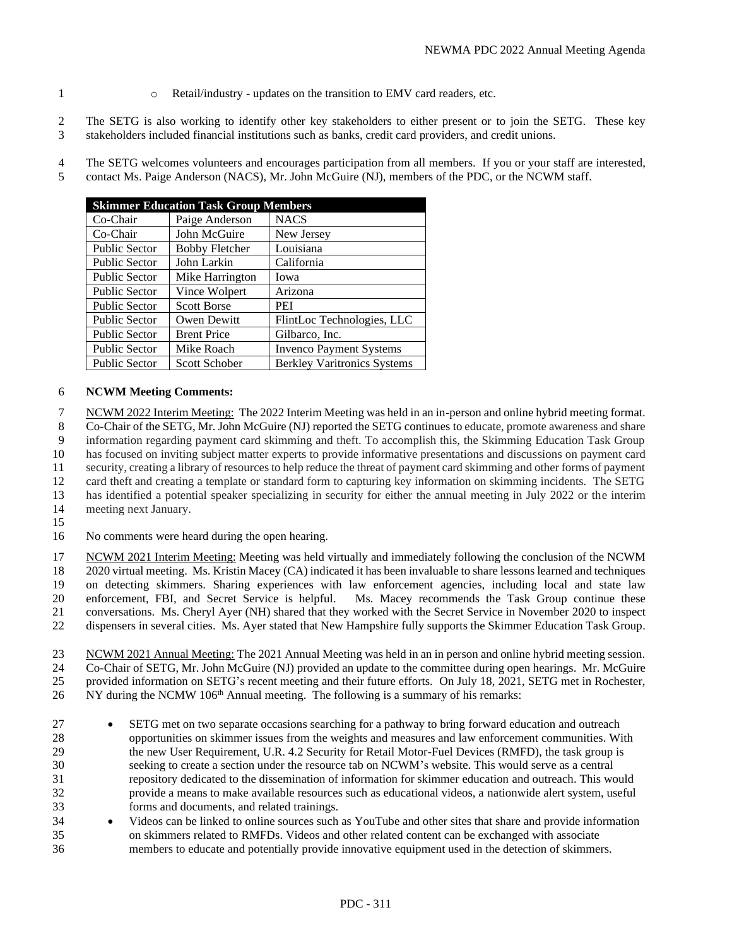1 o Retail/industry - updates on the transition to EMV card readers, etc.

 The SETG is also working to identify other key stakeholders to either present or to join the SETG. These key stakeholders included financial institutions such as banks, credit card providers, and credit unions.

- The SETG welcomes volunteers and encourages participation from all members. If you or your staff are interested,
- contact Ms. Paige Anderson (NACS), Mr. John McGuire (NJ), members of the PDC, or the NCWM staff.

| <b>Skimmer Education Task Group Members</b> |                       |                                    |  |
|---------------------------------------------|-----------------------|------------------------------------|--|
| Co-Chair                                    | Paige Anderson        | <b>NACS</b>                        |  |
| Co-Chair                                    | John McGuire          | New Jersey                         |  |
| Public Sector                               | <b>Bobby Fletcher</b> | Louisiana                          |  |
| <b>Public Sector</b>                        | John Larkin           | California                         |  |
| <b>Public Sector</b>                        | Mike Harrington       | Iowa                               |  |
| <b>Public Sector</b>                        | Vince Wolpert         | Arizona                            |  |
| <b>Public Sector</b>                        | <b>Scott Borse</b>    | <b>PEI</b>                         |  |
| <b>Public Sector</b>                        | Owen Dewitt           | FlintLoc Technologies, LLC         |  |
| <b>Public Sector</b>                        | <b>Brent Price</b>    | Gilbarco, Inc.                     |  |
| <b>Public Sector</b>                        | Mike Roach            | <b>Invenco Payment Systems</b>     |  |
| <b>Public Sector</b>                        | <b>Scott Schober</b>  | <b>Berkley Varitronics Systems</b> |  |

## **NCWM Meeting Comments:**

NCWM 2022 Interim Meeting: The 2022 Interim Meeting was held in an in-person and online hybrid meeting format.

8 Co-Chair of the SETG, Mr. John McGuire (NJ) reported the SETG continues to educate, promote awareness and share

information regarding payment card skimming and theft. To accomplish this, the Skimming Education Task Group

has focused on inviting subject matter experts to provide informative presentations and discussions on payment card

security, creating a library of resources to help reduce the threat of payment card skimming and other forms of payment

card theft and creating a template or standard form to capturing key information on skimming incidents. The SETG

has identified a potential speaker specializing in security for either the annual meeting in July 2022 or the interim

- meeting next January.
- 

No comments were heard during the open hearing.

 NCWM 2021 Interim Meeting: Meeting was held virtually and immediately following the conclusion of the NCWM 2020 virtual meeting. Ms. Kristin Macey (CA) indicated it has been invaluable to share lessons learned and techniques on detecting skimmers. Sharing experiences with law enforcement agencies, including local and state law enforcement, FBI, and Secret Service is helpful. Ms. Macey recommends the Task Group continue these conversations. Ms. Cheryl Ayer (NH) shared that they worked with the Secret Service in November 2020 to inspect dispensers in several cities. Ms. Ayer stated that New Hampshire fully supports the Skimmer Education Task Group.

 NCWM 2021 Annual Meeting: The 2021 Annual Meeting was held in an in person and online hybrid meeting session. Co-Chair of SETG, Mr. John McGuire (NJ) provided an update to the committee during open hearings. Mr. McGuire provided information on SETG's recent meeting and their future efforts. On July 18, 2021, SETG met in Rochester, 26 NY during the NCMW  $106<sup>th</sup>$  Annual meeting. The following is a summary of his remarks:

- SETG met on two separate occasions searching for a pathway to bring forward education and outreach opportunities on skimmer issues from the weights and measures and law enforcement communities. With 29 the new User Requirement, U.R. 4.2 Security for Retail Motor-Fuel Devices (RMFD), the task group is seeking to create a section under the resource tab on NCWM's website. This would serve as a central repository dedicated to the dissemination of information for skimmer education and outreach. This would provide a means to make available resources such as educational videos, a nationwide alert system, useful forms and documents, and related trainings.
- Videos can be linked to online sources such as YouTube and other sites that share and provide information on skimmers related to RMFDs. Videos and other related content can be exchanged with associate members to educate and potentially provide innovative equipment used in the detection of skimmers.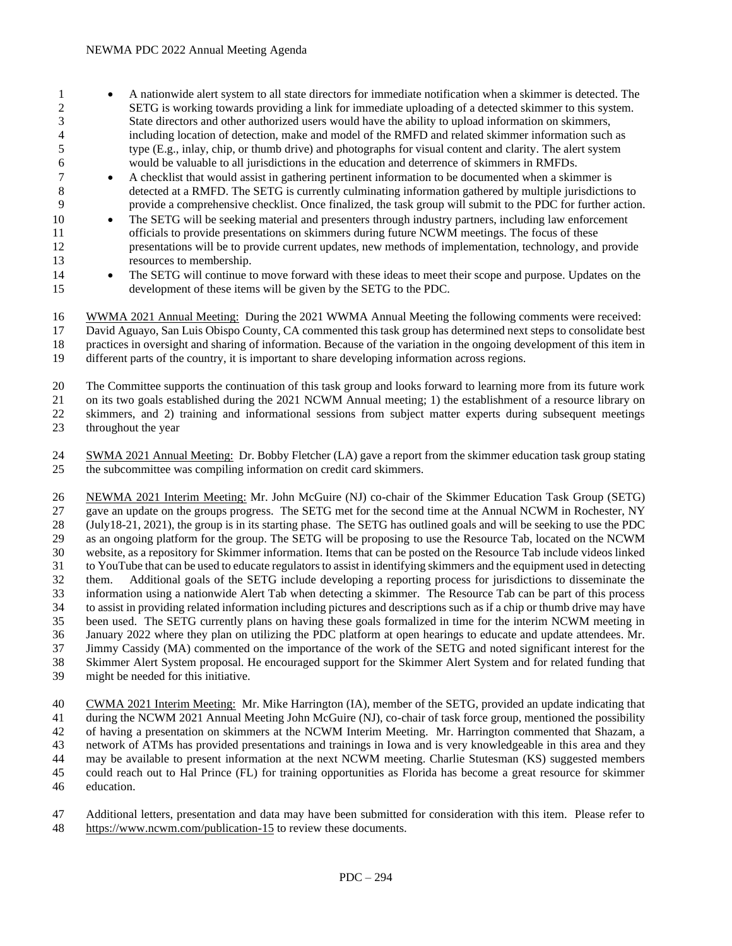- A nationwide alert system to all state directors for immediate notification when a skimmer is detected. The SETG is working towards providing a link for immediate uploading of a detected skimmer to this system. State directors and other authorized users would have the ability to upload information on skimmers, including location of detection, make and model of the RMFD and related skimmer information such as type (E.g., inlay, chip, or thumb drive) and photographs for visual content and clarity. The alert system would be valuable to all jurisdictions in the education and deterrence of skimmers in RMFDs.
- <sup>7</sup> A checklist that would assist in gathering pertinent information to be documented when a skimmer is detected at a RMFD. The SETG is currently culminating information gathered by multiple jurisdiction 8 detected at a RMFD. The SETG is currently culminating information gathered by multiple jurisdictions to provide a comprehensive checklist. Once finalized, the task group will submit to the PDC for further action provide a comprehensive checklist. Once finalized, the task group will submit to the PDC for further action.
- The SETG will be seeking material and presenters through industry partners, including law enforcement officials to provide presentations on skimmers during future NCWM meetings. The focus of these presentations will be to provide current updates, new methods of implementation, technology, and provide resources to membership.
- The SETG will continue to move forward with these ideas to meet their scope and purpose. Updates on the development of these items will be given by the SETG to the PDC.

 WWMA 2021 Annual Meeting: During the 2021 WWMA Annual Meeting the following comments were received: David Aguayo, San Luis Obispo County, CA commented this task group has determined next steps to consolidate best 18 practices in oversight and sharing of information. Because of the variation in the ongoing development of this item in different parts of the country, it is important to share developing information across regions. different parts of the country, it is important to share developing information across regions.

The Committee supports the continuation of this task group and looks forward to learning more from its future work

on its two goals established during the 2021 NCWM Annual meeting; 1) the establishment of a resource library on

skimmers, and 2) training and informational sessions from subject matter experts during subsequent meetings

throughout the year

 SWMA 2021 Annual Meeting: Dr. Bobby Fletcher (LA) gave a report from the skimmer education task group stating the subcommittee was compiling information on credit card skimmers.

 NEWMA 2021 Interim Meeting: Mr. John McGuire (NJ) co-chair of the Skimmer Education Task Group (SETG) gave an update on the groups progress. The SETG met for the second time at the Annual NCWM in Rochester, NY (July18-21, 2021), the group is in its starting phase. The SETG has outlined goals and will be seeking to use the PDC as an ongoing platform for the group. The SETG will be proposing to use the Resource Tab, located on the NCWM website, as a repository for Skimmer information. Items that can be posted on the Resource Tab include videos linked to YouTube that can be used to educate regulators to assist in identifying skimmers and the equipment used in detecting them. Additional goals of the SETG include developing a reporting process for jurisdictions to disseminate the information using a nationwide Alert Tab when detecting a skimmer. The Resource Tab can be part of this process to assist in providing related information including pictures and descriptions such as if a chip or thumb drive may have been used. The SETG currently plans on having these goals formalized in time for the interim NCWM meeting in January 2022 where they plan on utilizing the PDC platform at open hearings to educate and update attendees. Mr. Jimmy Cassidy (MA) commented on the importance of the work of the SETG and noted significant interest for the Skimmer Alert System proposal. He encouraged support for the Skimmer Alert System and for related funding that

might be needed for this initiative.

CWMA 2021 Interim Meeting: Mr. Mike Harrington (IA), member of the SETG, provided an update indicating that

 during the NCWM 2021 Annual Meeting John McGuire (NJ), co-chair of task force group, mentioned the possibility of having a presentation on skimmers at the NCWM Interim Meeting. Mr. Harrington commented that Shazam, a

network of ATMs has provided presentations and trainings in Iowa and is very knowledgeable in this area and they

- may be available to present information at the next NCWM meeting. Charlie Stutesman (KS) suggested members
- could reach out to Hal Prince (FL) for training opportunities as Florida has become a great resource for skimmer
- education.

 Additional letters, presentation and data may have been submitted for consideration with this item. Please refer to https://www.ncwm.com/publication-15 to review these documents.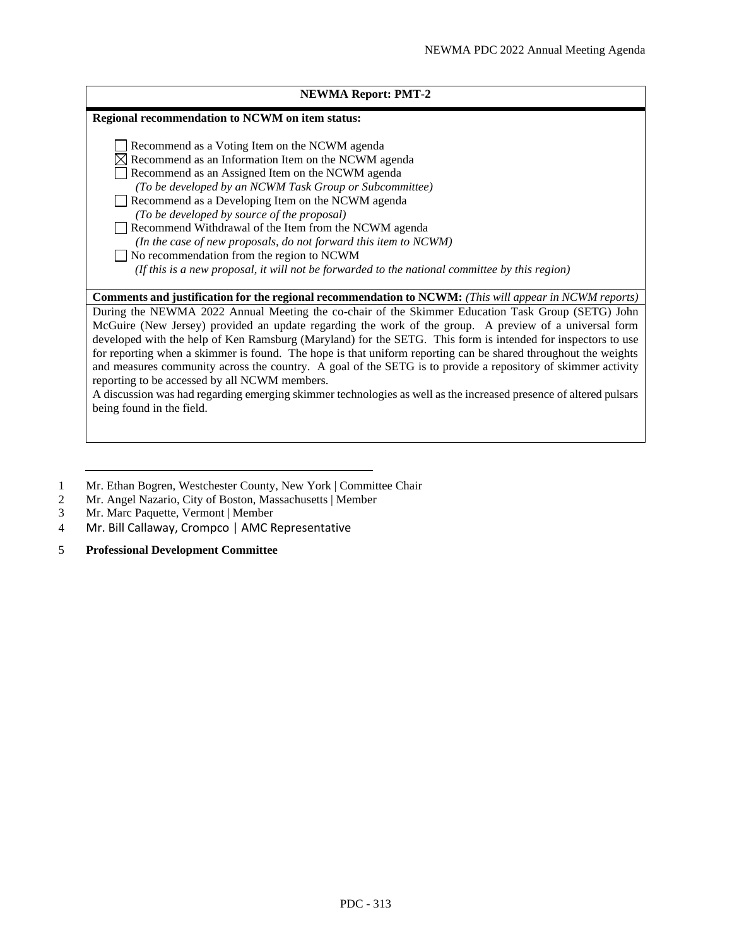| <b>NEWMA Report: PMT-2</b>                                                                                                                                                                                                                                                                                                                                                                                                                                                                                                                                                                                                                                                                                                                                       |
|------------------------------------------------------------------------------------------------------------------------------------------------------------------------------------------------------------------------------------------------------------------------------------------------------------------------------------------------------------------------------------------------------------------------------------------------------------------------------------------------------------------------------------------------------------------------------------------------------------------------------------------------------------------------------------------------------------------------------------------------------------------|
| Regional recommendation to NCWM on item status:                                                                                                                                                                                                                                                                                                                                                                                                                                                                                                                                                                                                                                                                                                                  |
| Recommend as a Voting Item on the NCWM agenda<br>$\boxtimes$ Recommend as an Information Item on the NCWM agenda<br>Recommend as an Assigned Item on the NCWM agenda<br>(To be developed by an NCWM Task Group or Subcommittee)<br>Recommend as a Developing Item on the NCWM agenda<br>(To be developed by source of the proposal)<br>Recommend Withdrawal of the Item from the NCWM agenda<br>(In the case of new proposals, do not forward this item to NCWM)<br>$\Box$ No recommendation from the region to NCWM<br>(If this is a new proposal, it will not be forwarded to the national committee by this region)                                                                                                                                           |
| <b>Comments and justification for the regional recommendation to NCWM:</b> (This will appear in NCWM reports)                                                                                                                                                                                                                                                                                                                                                                                                                                                                                                                                                                                                                                                    |
| During the NEWMA 2022 Annual Meeting the co-chair of the Skimmer Education Task Group (SETG) John<br>McGuire (New Jersey) provided an update regarding the work of the group. A preview of a universal form<br>developed with the help of Ken Ramsburg (Maryland) for the SETG. This form is intended for inspectors to use<br>for reporting when a skimmer is found. The hope is that uniform reporting can be shared throughout the weights<br>and measures community across the country. A goal of the SETG is to provide a repository of skimmer activity<br>reporting to be accessed by all NCWM members.<br>A discussion was had regarding emerging skimmer technologies as well as the increased presence of altered pulsars<br>being found in the field. |

- 1 Mr. Ethan Bogren, Westchester County, New York | Committee Chair<br>2 Mr. Angel Nazario, City of Boston, Massachusetts | Member
- 2 Mr. Angel Nazario, City of Boston, Massachusetts | Member<br>3 Mr. Marc Paquette, Vermont | Member
- 3 Mr. Marc Paquette, Vermont | Member
- 4 Mr. Bill Callaway, Crompco | AMC Representative
- 5 **Professional Development Committee**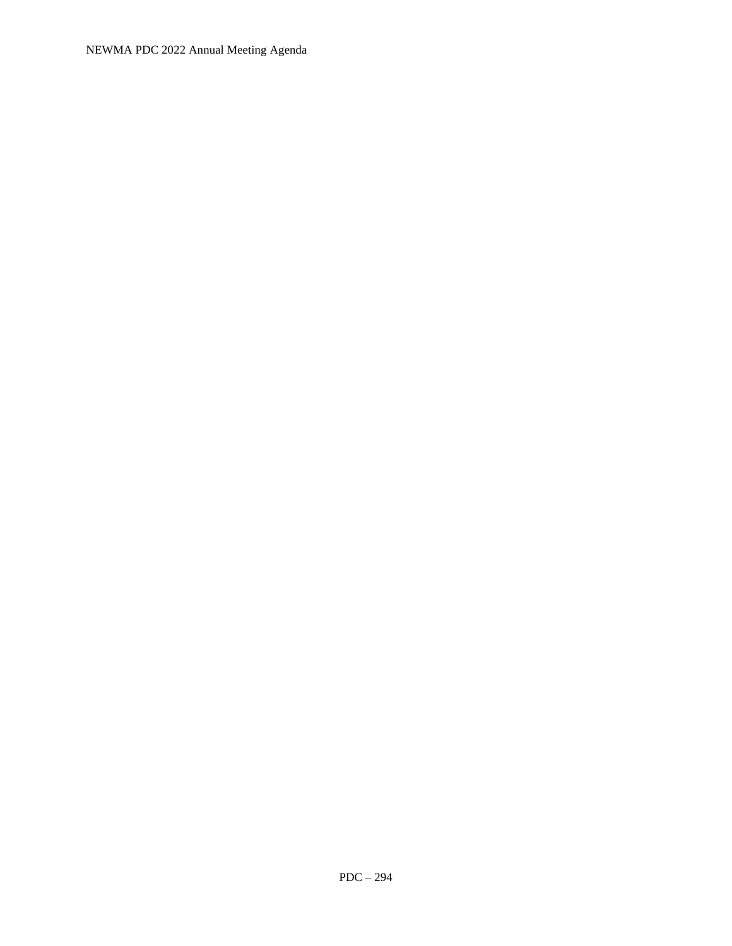NEWMA PDC 2022 Annual Meeting Agenda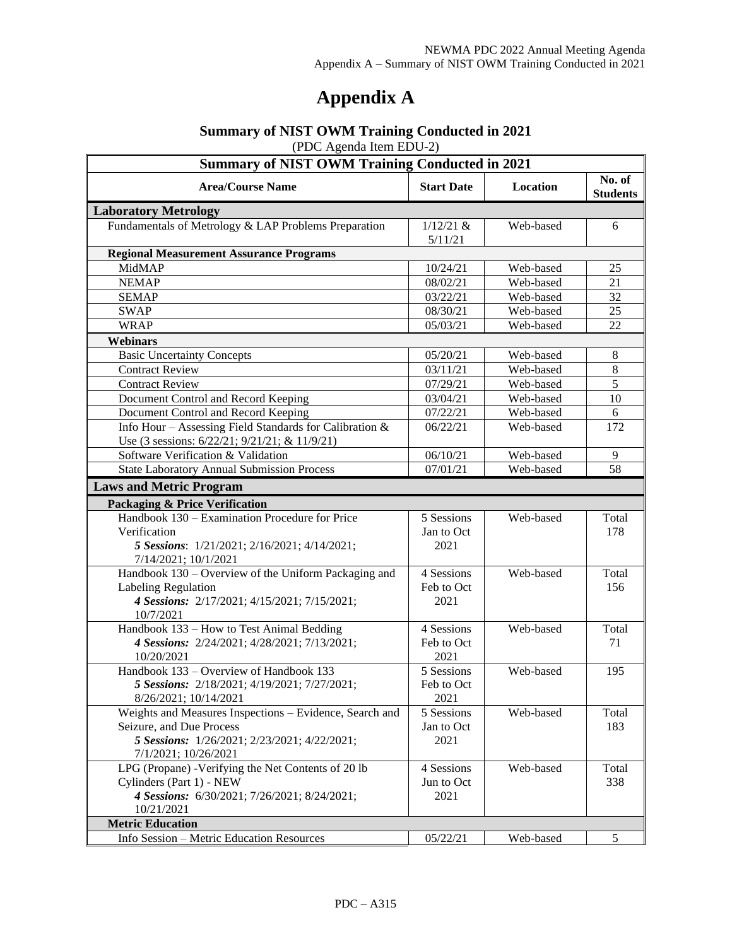# **Appendix A**

## **Summary of NIST OWM Training Conducted in 2021** (PDC Agenda Item EDU-2)

<span id="page-26-0"></span>

| <b>Summary of NIST OWM Training Conducted in 2021</b>                |                        |           |                           |
|----------------------------------------------------------------------|------------------------|-----------|---------------------------|
| <b>Area/Course Name</b>                                              | <b>Start Date</b>      | Location  | No. of<br><b>Students</b> |
| <b>Laboratory Metrology</b>                                          |                        |           |                           |
| Fundamentals of Metrology & LAP Problems Preparation                 | $1/12/21$ &<br>5/11/21 | Web-based | 6                         |
| <b>Regional Measurement Assurance Programs</b>                       |                        |           |                           |
| MidMAP                                                               | 10/24/21               | Web-based | 25                        |
| <b>NEMAP</b>                                                         | 08/02/21               | Web-based | 21                        |
| <b>SEMAP</b>                                                         | 03/22/21               | Web-based | 32                        |
| <b>SWAP</b>                                                          | 08/30/21               | Web-based | 25                        |
| <b>WRAP</b>                                                          | 05/03/21               | Web-based | 22                        |
| Webinars                                                             |                        |           |                           |
| <b>Basic Uncertainty Concepts</b>                                    | 05/20/21               | Web-based | 8                         |
| <b>Contract Review</b>                                               | 03/11/21               | Web-based | $\,8$                     |
| <b>Contract Review</b>                                               | 07/29/21               | Web-based | $\sqrt{5}$                |
| Document Control and Record Keeping                                  | 03/04/21               | Web-based | 10                        |
| Document Control and Record Keeping                                  | 07/22/21               | Web-based | 6                         |
| Info Hour - Assessing Field Standards for Calibration &              | 06/22/21               | Web-based | 172                       |
| Use (3 sessions: 6/22/21; 9/21/21; & 11/9/21)                        |                        |           |                           |
| Software Verification & Validation                                   | 06/10/21               | Web-based | 9                         |
| <b>State Laboratory Annual Submission Process</b>                    | 07/01/21               | Web-based | 58                        |
| <b>Laws and Metric Program</b>                                       |                        |           |                           |
|                                                                      |                        |           |                           |
| <b>Packaging &amp; Price Verification</b>                            |                        |           |                           |
| Handbook 130 – Examination Procedure for Price                       | 5 Sessions             | Web-based | Total                     |
| Verification                                                         | Jan to Oct             |           | 178                       |
| 5 Sessions: 1/21/2021; 2/16/2021; 4/14/2021;<br>7/14/2021; 10/1/2021 | 2021                   |           |                           |
| Handbook 130 – Overview of the Uniform Packaging and                 | 4 Sessions             | Web-based | Total                     |
| Labeling Regulation                                                  | Feb to Oct             |           | 156                       |
| 4 Sessions: 2/17/2021; 4/15/2021; 7/15/2021;                         | 2021                   |           |                           |
| 10/7/2021                                                            |                        |           |                           |
| Handbook 133 - How to Test Animal Bedding                            | 4 Sessions             | Web-based | Total                     |
| 4 Sessions: 2/24/2021; 4/28/2021; 7/13/2021;                         | Feb to Oct             |           | 71                        |
| 10/20/2021                                                           | 2021                   |           |                           |
| Handbook 133 – Overview of Handbook 133                              | 5 Sessions             | Web-based | 195                       |
| 5 Sessions: 2/18/2021; 4/19/2021; 7/27/2021;                         | Feb to Oct             |           |                           |
| 8/26/2021; 10/14/2021                                                | 2021                   |           |                           |
| Weights and Measures Inspections - Evidence, Search and              | 5 Sessions             | Web-based | Total                     |
| Seizure, and Due Process                                             | Jan to Oct             |           | 183                       |
| 5 Sessions: 1/26/2021; 2/23/2021; 4/22/2021;                         | 2021                   |           |                           |
| 7/1/2021; 10/26/2021                                                 |                        |           |                           |
| LPG (Propane) - Verifying the Net Contents of 20 lb                  | 4 Sessions             | Web-based | Total                     |
| Cylinders (Part 1) - NEW                                             | Jun to Oct             |           | 338                       |
| 4 Sessions: 6/30/2021; 7/26/2021; 8/24/2021;<br>10/21/2021           | 2021                   |           |                           |
| <b>Metric Education</b>                                              |                        |           |                           |
| Info Session - Metric Education Resources                            | 05/22/21               | Web-based | 5                         |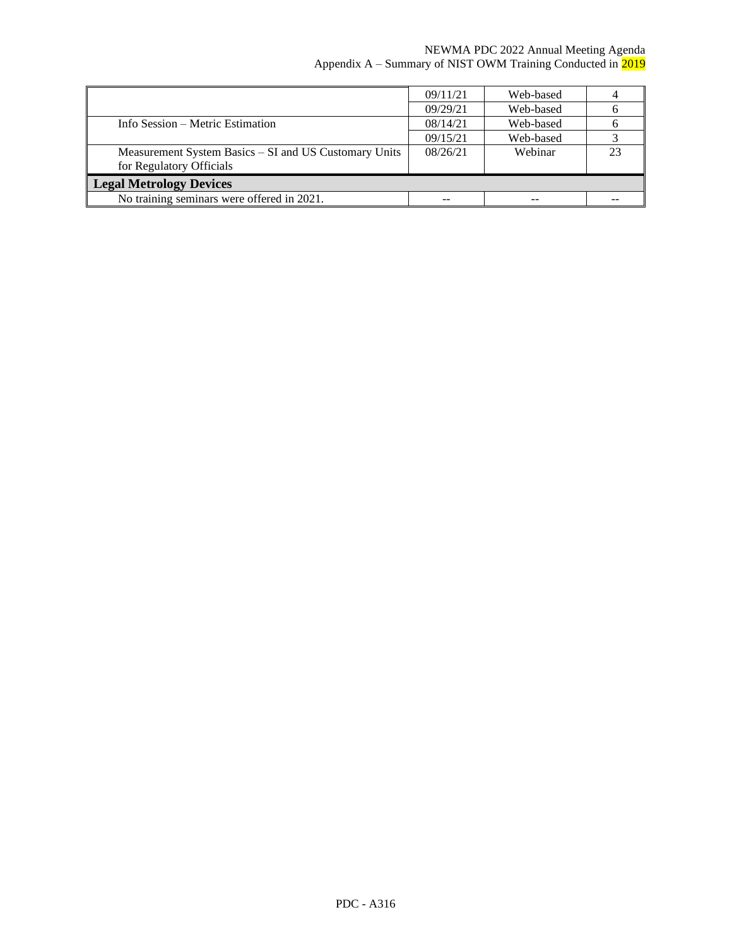## NEWMA PDC 2022 Annual Meeting Agenda Appendix A – Summary of NIST OWM Training Conducted in 2019

|                                                       | 09/11/21 | Web-based |  |
|-------------------------------------------------------|----------|-----------|--|
|                                                       | 09/29/21 | Web-based |  |
| Info Session – Metric Estimation                      | 08/14/21 | Web-based |  |
|                                                       | 09/15/21 | Web-based |  |
| Measurement System Basics – SI and US Customary Units | 08/26/21 | Webinar   |  |
| for Regulatory Officials                              |          |           |  |
| <b>Legal Metrology Devices</b>                        |          |           |  |
| No training seminars were offered in 2021.            |          |           |  |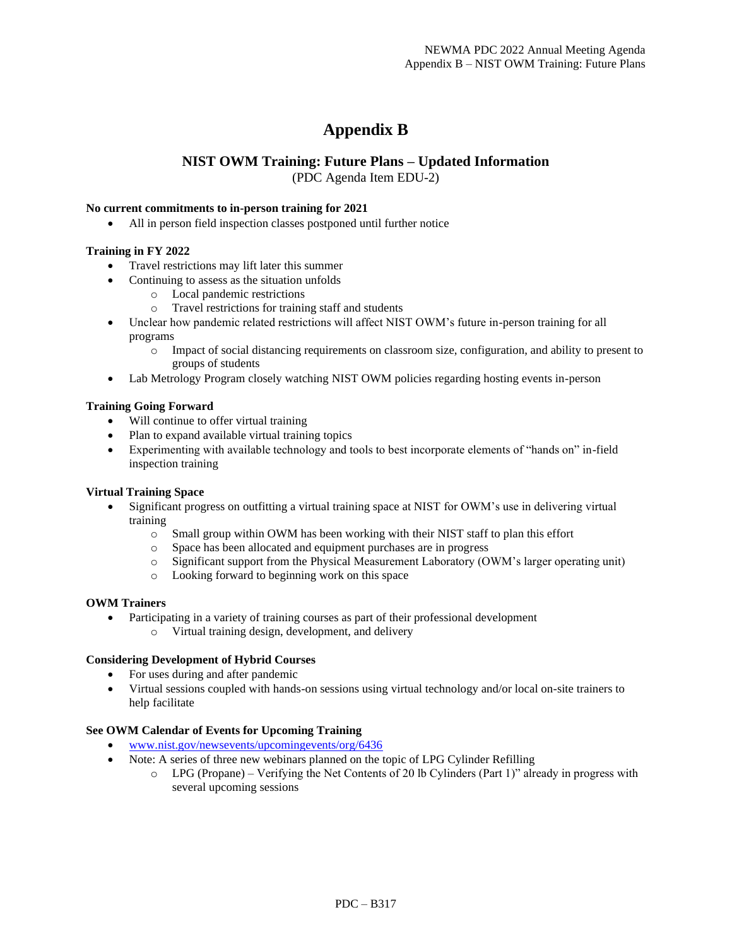# **Appendix B**

# **NIST OWM Training: Future Plans – Updated Information**

(PDC Agenda Item EDU-2)

#### <span id="page-28-0"></span>**No current commitments to in-person training for 2021**

• All in person field inspection classes postponed until further notice

### **Training in FY 2022**

- Travel restrictions may lift later this summer
- Continuing to assess as the situation unfolds
	- o Local pandemic restrictions
	- o Travel restrictions for training staff and students
- Unclear how pandemic related restrictions will affect NIST OWM's future in-person training for all programs
	- o Impact of social distancing requirements on classroom size, configuration, and ability to present to groups of students
- Lab Metrology Program closely watching NIST OWM policies regarding hosting events in-person

#### **Training Going Forward**

- Will continue to offer virtual training
- Plan to expand available virtual training topics
- Experimenting with available technology and tools to best incorporate elements of "hands on" in-field inspection training

#### **Virtual Training Space**

- Significant progress on outfitting a virtual training space at NIST for OWM's use in delivering virtual training
	- o Small group within OWM has been working with their NIST staff to plan this effort
	- o Space has been allocated and equipment purchases are in progress
	- o Significant support from the Physical Measurement Laboratory (OWM's larger operating unit)
	- o Looking forward to beginning work on this space

#### **OWM Trainers**

- Participating in a variety of training courses as part of their professional development
	- o Virtual training design, development, and delivery

#### **Considering Development of Hybrid Courses**

- For uses during and after pandemic
- Virtual sessions coupled with hands-on sessions using virtual technology and/or local on-site trainers to help facilitate

#### **See OWM Calendar of Events for Upcoming Training**

- [www.nist.gov/newsevents/upcomingevents/org/6436](http://www.nist.gov/newsevents/upcomingevents/org/6436)
- Note: A series of three new webinars planned on the topic of LPG Cylinder Refilling
	- o LPG (Propane) Verifying the Net Contents of 20 lb Cylinders (Part 1)" already in progress with several upcoming sessions